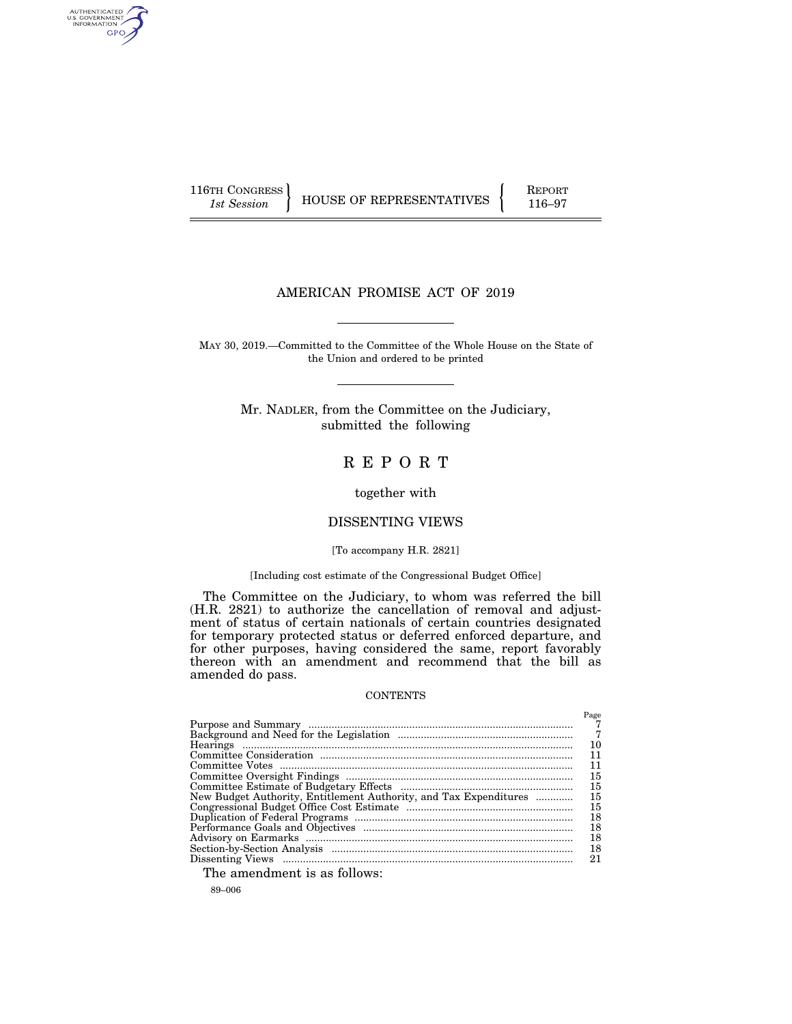AUTHENTICATED<br>U.S. GOVERNMENT<br>INFORMATION GPO

116TH CONGRESS **REPORT 116-97** HOUSE OF REPRESENTATIVES **116–97** 

# AMERICAN PROMISE ACT OF 2019

MAY 30, 2019.—Committed to the Committee of the Whole House on the State of the Union and ordered to be printed

> Mr. NADLER, from the Committee on the Judiciary, submitted the following

# R E P O R T

together with

# DISSENTING VIEWS

# [To accompany H.R. 2821]

# [Including cost estimate of the Congressional Budget Office]

The Committee on the Judiciary, to whom was referred the bill (H.R. 2821) to authorize the cancellation of removal and adjustment of status of certain nationals of certain countries designated for temporary protected status or deferred enforced departure, and for other purposes, having considered the same, report favorably thereon with an amendment and recommend that the bill as amended do pass.

# **CONTENTS**

|                                                                   | Page |
|-------------------------------------------------------------------|------|
|                                                                   |      |
|                                                                   | - 7  |
|                                                                   | 10   |
|                                                                   | 11   |
|                                                                   | 11   |
|                                                                   | 15   |
|                                                                   | 15   |
| New Budget Authority, Entitlement Authority, and Tax Expenditures | 15   |
|                                                                   | 15   |
|                                                                   | 18   |
|                                                                   | 18   |
|                                                                   | 18   |
|                                                                   | 18   |
|                                                                   | 21   |

The amendment is as follows:

89–006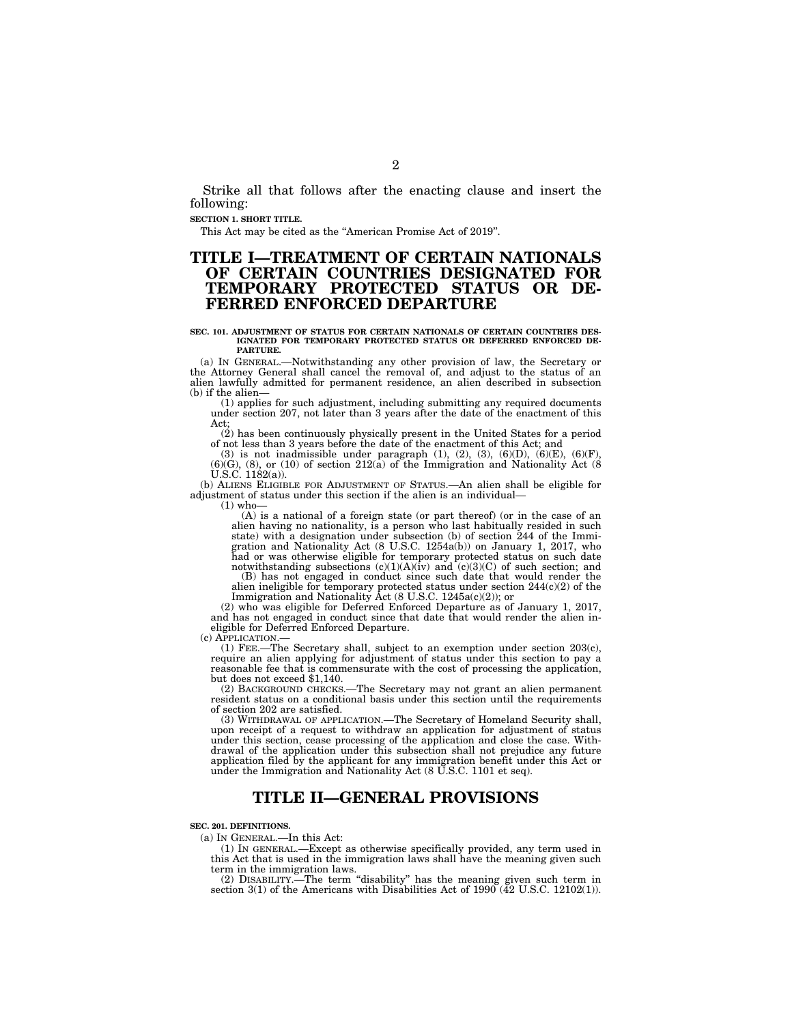Strike all that follows after the enacting clause and insert the following:

**SECTION 1. SHORT TITLE.** 

This Act may be cited as the ''American Promise Act of 2019''.

# **TITLE I—TREATMENT OF CERTAIN NATIONALS OF CERTAIN COUNTRIES DESIGNATED FOR TEMPORARY PROTECTED STATUS OR DE-FERRED ENFORCED DEPARTURE**

#### **SEC. 101. ADJUSTMENT OF STATUS FOR CERTAIN NATIONALS OF CERTAIN COUNTRIES DES-IGNATED FOR TEMPORARY PROTECTED STATUS OR DEFERRED ENFORCED DE-PARTURE.**

(a) IN GENERAL.—Notwithstanding any other provision of law, the Secretary or the Attorney General shall cancel the removal of, and adjust to the status of an alien lawfully admitted for permanent residence, an alien described in subsection (b) if the alien-

(1) applies for such adjustment, including submitting any required documents under section 207, not later than 3 years after the date of the enactment of this Act;

(2) has been continuously physically present in the United States for a period of not less than 3 years before the date of the enactment of this Act; and

(3) is not inadmissible under paragraph  $(1)$ ,  $(2)$ ,  $(3)$ ,  $(6)(D)$ ,  $(6)(E)$ ,  $(6)(F)$ ,  $(6)(G)$ ,  $(8)$ , or  $(10)$  of section  $212(a)$  of the Immigration and Nationality Act  $(8)(S)$ .  $(182(a))$ .

(b) ALIENS ELIGIBLE FOR ADJUSTMENT OF STATUS.—An alien shall be eligible for adjustment of status under this section if the alien is an individual—

 $(1)$  who-

(A) is a national of a foreign state (or part thereof) (or in the case of an alien having no nationality, is a person who last habitually resided in such state) with a designation under subsection (b) of section  $244$  of the Immigration and Nationality Act (8 U.S.C. 1254a(b)) on January 1, 2017, who had or was otherwise eligible for temporary protected status on such date notwithstanding subsections (c)(1)(A)(iv) and (c)(3)(C) of such section; and (B) has not engaged in conduct since such date that would render the

alien ineligible for temporary protected status under section 244(c)(2) of the Immigration and Nationality Act (8 U.S.C. 1245a(c)(2)); or

(2) who was eligible for Deferred Enforced Departure as of January 1, 2017, and has not engaged in conduct since that date that would render the alien ineligible for Deferred Enforced Departure.<br>(c) APPLICATION.—

(1) FEE.—The Secretary shall, subject to an exemption under section  $203(c)$ , require an alien applying for adjustment of status under this section to pay a reasonable fee that is commensurate with the cost of processing the application, but does not exceed \$1,140.

(2) BACKGROUND CHECKS.—The Secretary may not grant an alien permanent resident status on a conditional basis under this section until the requirements of section 202 are satisfied.

(3) WITHDRAWAL OF APPLICATION.—The Secretary of Homeland Security shall, upon receipt of a request to withdraw an application for adjustment of status under this section, cease processing of the application and close the case. Withdrawal of the application under this subsection shall not prejudice any future application filed by the applicant for any immigration benefit under this Act or under the Immigration and Nationality Act (8 U.S.C. 1101 et seq).

# **TITLE II—GENERAL PROVISIONS**

**SEC. 201. DEFINITIONS.** 

(a) IN GENERAL.—In this Act:

(1) IN GENERAL.—Except as otherwise specifically provided, any term used in this Act that is used in the immigration laws shall have the meaning given such term in the immigration laws.

(2) DISABILITY.—The term ''disability'' has the meaning given such term in section 3(1) of the Americans with Disabilities Act of 1990 (42 U.S.C. 12102(1)).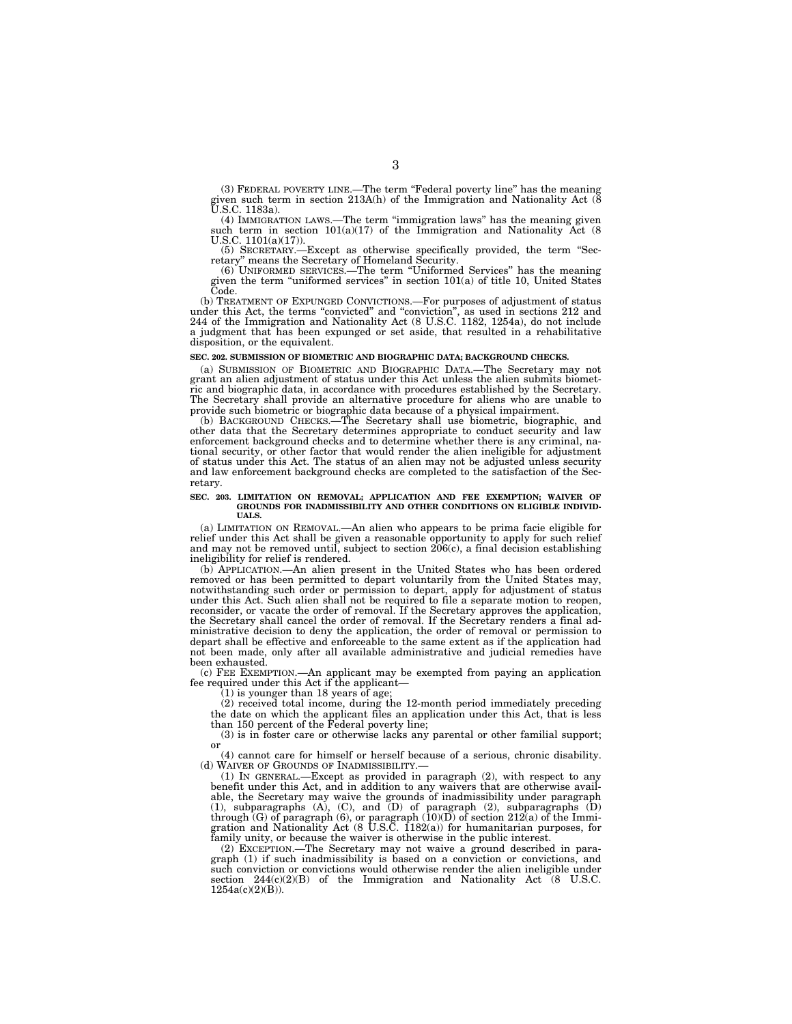(3) FEDERAL POVERTY LINE.—The term ''Federal poverty line'' has the meaning given such term in section 213A(h) of the Immigration and Nationality Act (8 U.S.C. 1183a).

(4) IMMIGRATION LAWS.—The term ''immigration laws'' has the meaning given such term in section  $101(a)(17)$  of the Immigration and Nationality Act (8) U.S.C. 1101(a)(17)).

(5) SECRETARY.—Except as otherwise specifically provided, the term ''Sec-retary'' means the Secretary of Homeland Security.

(6) UNIFORMED SERVICES.—The term ''Uniformed Services'' has the meaning given the term ''uniformed services'' in section 101(a) of title 10, United States Code.

(b) TREATMENT OF EXPUNGED CONVICTIONS.—For purposes of adjustment of status under this Act, the terms "convicted" and "conviction", as used in sections 212 and 244 of the Immigration and Nationality Act (8 U.S.C. 1182, 125 a judgment that has been expunged or set aside, that resulted in a rehabilitative disposition, or the equivalent.

# **SEC. 202. SUBMISSION OF BIOMETRIC AND BIOGRAPHIC DATA; BACKGROUND CHECKS.**

(a) SUBMISSION OF BIOMETRIC AND BIOGRAPHIC DATA.—The Secretary may not grant an alien adjustment of status under this Act unless the alien submits biometric and biographic data, in accordance with procedures established by the Secretary. The Secretary shall provide an alternative procedure for aliens who are unable to provide such biometric or biographic data because of a physical impairment.

(b) BACKGROUND CHECKS.—The Secretary shall use biometric, biographic, and other data that the Secretary determines appropriate to conduct security and law enforcement background checks and to determine whether there is any criminal, national security, or other factor that would render the alien ineligible for adjustment of status under this Act. The status of an alien may not be adjusted unless security and law enforcement background checks are completed to the satisfaction of the Secretary.

# **SEC. 203. LIMITATION ON REMOVAL; APPLICATION AND FEE EXEMPTION; WAIVER OF GROUNDS FOR INADMISSIBILITY AND OTHER CONDITIONS ON ELIGIBLE INDIVID-UALS.**

(a) LIMITATION ON REMOVAL.—An alien who appears to be prima facie eligible for relief under this Act shall be given a reasonable opportunity to apply for such relief and may not be removed until, subject to section 206(c), a final decision establishing ineligibility for relief is rendered.

(b) APPLICATION.—An alien present in the United States who has been ordered removed or has been permitted to depart voluntarily from the United States may, notwithstanding such order or permission to depart, apply for adjustment of status under this Act. Such alien shall not be required to file a separate motion to reopen, reconsider, or vacate the order of removal. If the Secretary approves the application, the Secretary shall cancel the order of removal. If the Secretary renders a final administrative decision to deny the application, the order of removal or permission to depart shall be effective and enforceable to the same extent as if the application had not been made, only after all available administrative and judicial remedies have been exhausted.

(c) FEE EXEMPTION.—An applicant may be exempted from paying an application fee required under this Act if the applicant—

 $(1)$  is younger than 18 years of age;

(2) received total income, during the 12-month period immediately preceding the date on which the applicant files an application under this Act, that is less than 150 percent of the Federal poverty line;

(3) is in foster care or otherwise lacks any parental or other familial support; or

(4) cannot care for himself or herself because of a serious, chronic disability. (d) WAIVER OF GROUNDS OF INADMISSIBILITY.

(1) IN GENERAL.—Except as provided in paragraph (2), with respect to any benefit under this Act, and in addition to any waivers that are otherwise available, the Secretary may waive the grounds of inadmissibility under paragraph (1), subparagraphs (A), (C), and (D) of paragraph (2), subparagraphs (D) through (G) of paragraph (6), or paragraph  $(10)(D)$  of section 212(a) of the Immigration and Nationality Act (8 U.S.C. 1182(a)) for humanitarian purposes, for family unity, or because the waiver is otherwise in the public interest.

(2) EXCEPTION.—The Secretary may not waive a ground described in paragraph (1) if such inadmissibility is based on a conviction or convictions, and such conviction or convictions would otherwise render the alien ineligible under section  $244(c)(2)(B)$  of the Immigration and Nationality Act  $(8$  U.S.C. 1254a(c)(2)(B)).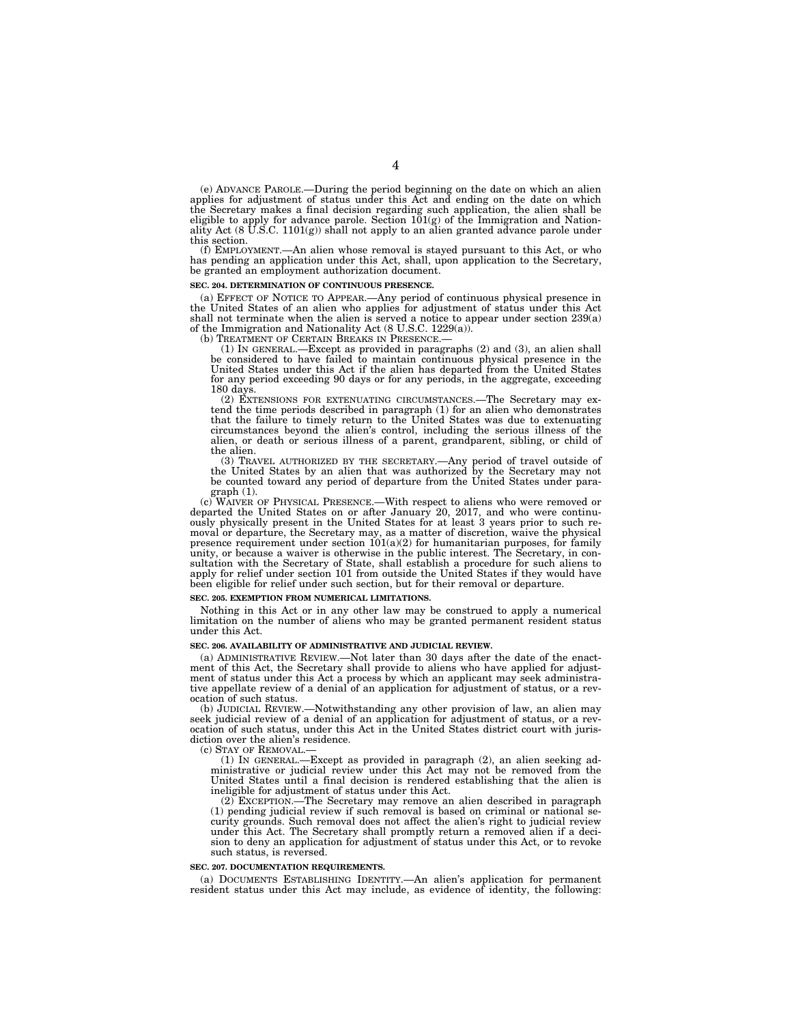(e) ADVANCE PAROLE.—During the period beginning on the date on which an alien applies for adjustment of status under this Act and ending on the date on which the Secretary makes a final decision regarding such application, the alien shall be eligible to apply for advance parole. Section  $101(g)$  of the Immigration and Nationality Act (8 U.S.C. 1101(g)) shall not apply to an ali this section.

(f) EMPLOYMENT.—An alien whose removal is stayed pursuant to this Act, or who has pending an application under this Act, shall, upon application to the Secretary, be granted an employment authorization document.

#### **SEC. 204. DETERMINATION OF CONTINUOUS PRESENCE.**

(a) EFFECT OF NOTICE TO APPEAR.—Any period of continuous physical presence in the United States of an alien who applies for adjustment of status under this Act shall not terminate when the alien is served a notice to appear under section 239(a) of the Immigration and Nationality Act (8 U.S.C. 1229(a)).

(b) TREATMENT OF CERTAIN BREAKS IN PRESENCE.—<br>
(1) IN GENERAL.—Except as provided in paragraphs (2) and (3), an alien shall<br>
be considered to have failed to maintain continuous physical presence in the<br>
United States under for any period exceeding 90 days or for any periods, in the aggregate, exceeding 180 days.

(2) EXTENSIONS FOR EXTENUATING CIRCUMSTANCES.—The Secretary may extend the time periods described in paragraph (1) for an alien who demonstrates that the failure to timely return to the United States was due to extenuating circumstances beyond the alien's control, including the serious illness of the alien, or death or serious illness of a parent, grandparent, sibling, or child of the alien.

(3) TRAVEL AUTHORIZED BY THE SECRETARY.—Any period of travel outside of the United States by an alien that was authorized by the Secretary may not be counted toward any period of departure from the United States under paragraph (1).

(c) WAIVER OF PHYSICAL PRESENCE.—With respect to aliens who were removed or departed the United States on or after January 20, 2017, and who were continu-ously physically present in the United States for at least 3 years prior to such removal or departure, the Secretary may, as a matter of discretion, waive the physical presence requirement under section 101(a)(2) for humanitarian purposes, for family unity, or because a waiver is otherwise in the public interest. The Secretary, in consultation with the Secretary of State, shall establish a procedure for such aliens to apply for relief under section 101 from outside the United States if they would have been eligible for relief under such section, but for their removal or departure.

#### **SEC. 205. EXEMPTION FROM NUMERICAL LIMITATIONS.**

Nothing in this Act or in any other law may be construed to apply a numerical limitation on the number of aliens who may be granted permanent resident status under this Act.

#### **SEC. 206. AVAILABILITY OF ADMINISTRATIVE AND JUDICIAL REVIEW.**

(a) ADMINISTRATIVE REVIEW.—Not later than 30 days after the date of the enactment of this Act, the Secretary shall provide to aliens who have applied for adjustment of status under this Act a process by which an applicant may seek administrative appellate review of a denial of an application for adjustment of status, or a revocation of such status.<br>(b) JUDICIAL REVIEW.

-Notwithstanding any other provision of law, an alien may seek judicial review of a denial of an application for adjustment of status, or a revocation of such status, under this Act in the United States district court with jurisdiction over the alien's residence.<br>(c) STAY OF REMOVAL.—

(1) IN GENERAL.—Except as provided in paragraph (2), an alien seeking administrative or judicial review under this Act may not be removed from the United States until a final decision is rendered establishing that the alien is ineligible for adjustment of status under this Act.

(2) EXCEPTION.—The Secretary may remove an alien described in paragraph (1) pending judicial review if such removal is based on criminal or national security grounds. Such removal does not affect the alien's right to judicial review under this Act. The Secretary shall promptly return a removed alien if a decision to deny an application for adjustment of status under this Act, or to revoke such status, is reversed.

#### **SEC. 207. DOCUMENTATION REQUIREMENTS.**

(a) DOCUMENTS ESTABLISHING IDENTITY.—An alien's application for permanent resident status under this Act may include, as evidence of identity, the following: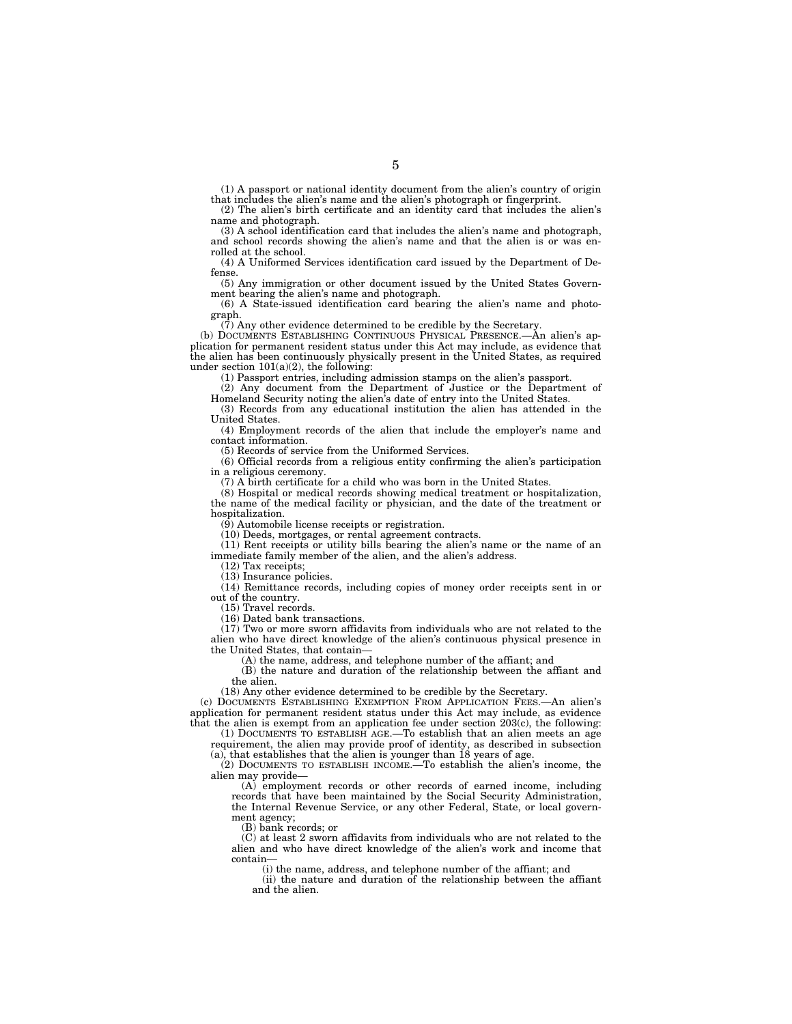(1) A passport or national identity document from the alien's country of origin that includes the alien's name and the alien's photograph or fingerprint.

(2) The alien's birth certificate and an identity card that includes the alien's name and photograph.

(3) A school identification card that includes the alien's name and photograph, and school records showing the alien's name and that the alien is or was enrolled at the school.

(4) A Uniformed Services identification card issued by the Department of Defense.

(5) Any immigration or other document issued by the United States Government bearing the alien's name and photograph.

(6) A State-issued identification card bearing the alien's name and photograph.

(7) Any other evidence determined to be credible by the Secretary.

(b) DOCUMENTS ESTABLISHING CONTINUOUS PHYSICAL PRESENCE.—An alien's application for permanent resident status under this Act may include, as evidence that the alien has been continuously physically present in the United States, as required under section  $101(a)(2)$ , the following:

(1) Passport entries, including admission stamps on the alien's passport.

(2) Any document from the Department of Justice or the Department of Homeland Security noting the alien's date of entry into the United States.

(3) Records from any educational institution the alien has attended in the United States.

(4) Employment records of the alien that include the employer's name and contact information.

(5) Records of service from the Uniformed Services.

(6) Official records from a religious entity confirming the alien's participation in a religious ceremony.

(7) A birth certificate for a child who was born in the United States.

(8) Hospital or medical records showing medical treatment or hospitalization, the name of the medical facility or physician, and the date of the treatment or hospitalization.

(9) Automobile license receipts or registration.

(10) Deeds, mortgages, or rental agreement contracts.

(11) Rent receipts or utility bills bearing the alien's name or the name of an immediate family member of the alien, and the alien's address.

(12) Tax receipts;

(13) Insurance policies.

(14) Remittance records, including copies of money order receipts sent in or out of the country.

(15) Travel records.

(16) Dated bank transactions.

 $(17)$  Two or more sworn affidavits from individuals who are not related to the alien who have direct knowledge of the alien's continuous physical presence in the United States, that contain—

(A) the name, address, and telephone number of the affiant; and

(B) the nature and duration of the relationship between the affiant and the alien.

(18) Any other evidence determined to be credible by the Secretary.

(c) DOCUMENTS ESTABLISHING EXEMPTION FROM APPLICATION FEES.—An alien's application for permanent resident status under this Act may include, as evidence that the alien is exempt from an application fee under section  $203(c)$ , the following:

(1) DOCUMENTS TO ESTABLISH AGE.—To establish that an alien meets an age requirement, the alien may provide proof of identity, as described in subsection (a), that establishes that the alien is younger than 18 years of age.

(2) DOCUMENTS TO ESTABLISH INCOME.—To establish the alien's income, the alien may provide—

(A) employment records or other records of earned income, including records that have been maintained by the Social Security Administration, the Internal Revenue Service, or any other Federal, State, or local government agency;

(B) bank records; or

(C) at least 2 sworn affidavits from individuals who are not related to the alien and who have direct knowledge of the alien's work and income that contain—

(i) the name, address, and telephone number of the affiant; and

(ii) the nature and duration of the relationship between the affiant and the alien.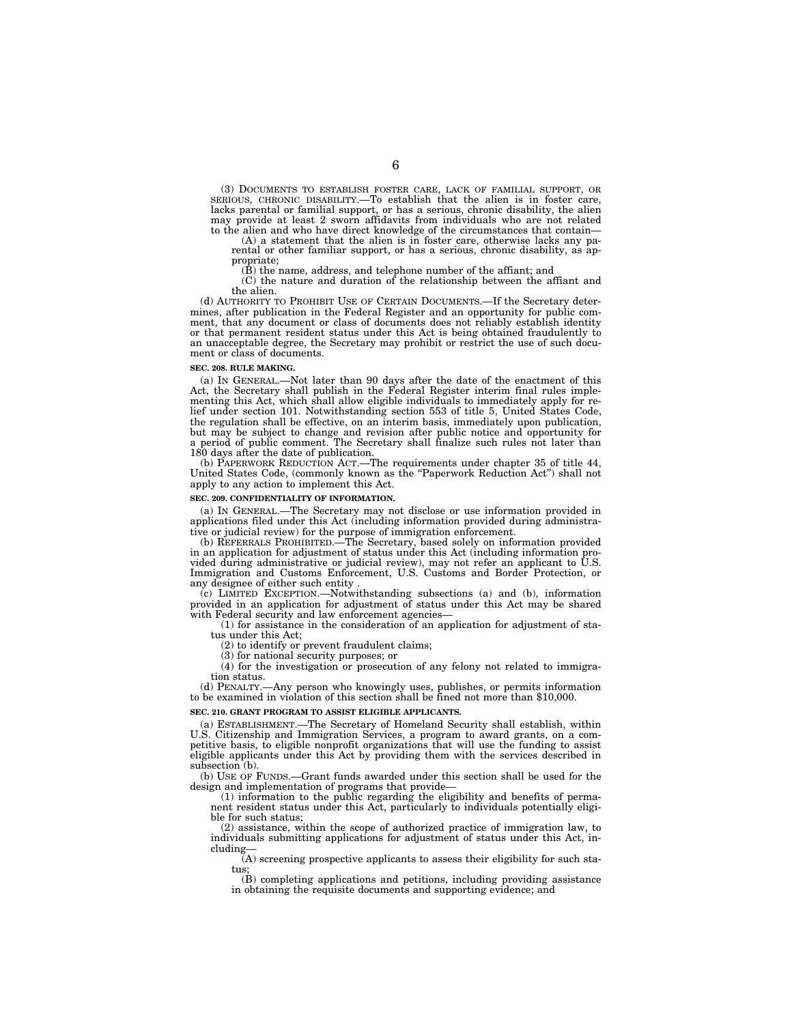(3) DOCUMENTS TO ESTABLISH FOSTER CARE, LACK OF FAMILIAL SUPPORT, OR SERIOUS, CHRONIC DISABILITY.—To establish that the alien is in foster care, lacks parental or familial support, or has a serious, chronic disability, the alien may provide at least 2 sworn affidavits from individuals who are not related to the alien and who have direct knowledge of the circumstances that contain—

(A) a statement that the alien is in foster care, otherwise lacks any parental or other familiar support, or has a serious, chronic disability, as appropriate;

(B) the name, address, and telephone number of the affiant; and

(C) the nature and duration of the relationship between the affiant and the alien.

(d) AUTHORITY TO PROHIBIT USE OF CERTAIN DOCUMENTS.—If the Secretary determines, after publication in the Federal Register and an opportunity for public comment, that any document or class of documents does not reliably establish identity or that permanent resident status under this Act is being obtained fraudulently to an unacceptable degree, the Secretary may prohibit or restrict the use of such document or class of documents.

#### **SEC. 208. RULE MAKING.**

(a) IN GENERAL.—Not later than 90 days after the date of the enactment of this Act, the Secretary shall publish in the Federal Register interim final rules implementing this Act, which shall allow eligible individuals to immediately apply for relief under section 101. Notwithstanding section 553 of title 5, United States Code, the regulation shall be effective, on an interim basis, immediately upon publication, but may be subject to change and revision after public notice and opportunity for a period of public comment. The Secretary shall finalize such rules not later than 180 days after the date of publication.

(b) PAPERWORK REDUCTION ACT.—The requirements under chapter 35 of title 44, United States Code, (commonly known as the "Paperwork Reduction Act") shall not apply to any action to implement this Act.

#### **SEC. 209. CONFIDENTIALITY OF INFORMATION.**

(a) IN GENERAL.—The Secretary may not disclose or use information provided in applications filed under this Act (including information provided during administrative or judicial review) for the purpose of immigration enforcement.

(b) REFERRALS PROHIBITED.—The Secretary, based solely on information provided in an application for adjustment of status under this Act (including information provided during administrative or judicial review), may not refer an applicant to U.S. Immigration and Customs Enforcement, U.S. Customs and Border Protection, or any designee of either such entity .

(c) LIMITED EXCEPTION.—Notwithstanding subsections (a) and (b), information provided in an application for adjustment of status under this Act may be shared with Federal security and law enforcement agencies-

(1) for assistance in the consideration of an application for adjustment of status under this Act;

(2) to identify or prevent fraudulent claims;

(3) for national security purposes; or

(4) for the investigation or prosecution of any felony not related to immigration status.

(d) PENALTY.—Any person who knowingly uses, publishes, or permits information to be examined in violation of this section shall be fined not more than \$10,000.

#### **SEC. 210. GRANT PROGRAM TO ASSIST ELIGIBLE APPLICANTS.**

(a) ESTABLISHMENT.—The Secretary of Homeland Security shall establish, within U.S. Citizenship and Immigration Services, a program to award grants, on a competitive basis, to eligible nonprofit organizations that will use the funding to assist eligible applicants under this Act by providing them with the services described in subsection (b).

(b) USE OF FUNDS.—Grant funds awarded under this section shall be used for the design and implementation of programs that provide—

(1) information to the public regarding the eligibility and benefits of permanent resident status under this Act, particularly to individuals potentially eligible for such status;

(2) assistance, within the scope of authorized practice of immigration law, to individuals submitting applications for adjustment of status under this Act, including—

(A) screening prospective applicants to assess their eligibility for such status;

(B) completing applications and petitions, including providing assistance in obtaining the requisite documents and supporting evidence; and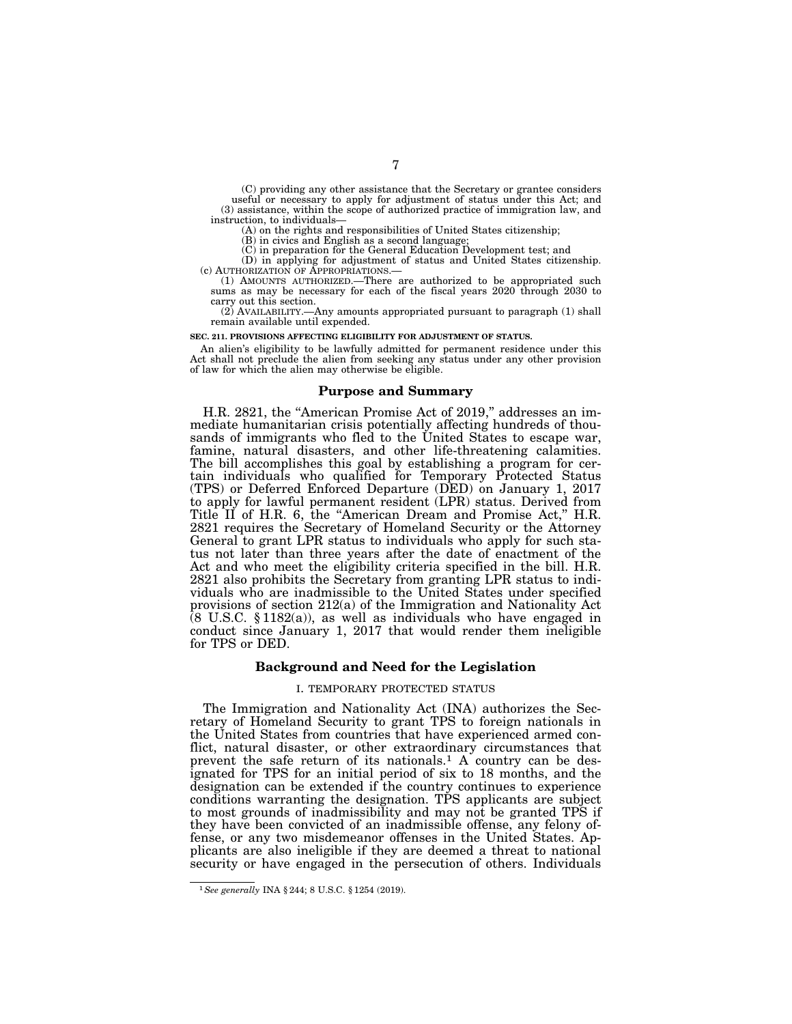(C) providing any other assistance that the Secretary or grantee considers useful or necessary to apply for adjustment of status under this Act; and (3) assistance, within the scope of authorized practice of immigration law, and instruction, to individuals—

(A) on the rights and responsibilities of United States citizenship;

(B) in civics and English as a second language; (C) in preparation for the General Education Development test; and (D) in applying for adjustment of status and United States citizenship.<br>(c) AUTHORIZATION OF APPROPRIATIONS.—

(1) AMOUNTS AUTHORIZED.—There are authorized to be appropriated such sums as may be necessary for each of the fiscal years 2020 through 2030 to carry out this section.

(2) AVAILABILITY.—Any amounts appropriated pursuant to paragraph (1) shall remain available until expended.

**SEC. 211. PROVISIONS AFFECTING ELIGIBILITY FOR ADJUSTMENT OF STATUS.** 

An alien's eligibility to be lawfully admitted for permanent residence under this Act shall not preclude the alien from seeking any status under any other provision of law for which the alien may otherwise be eligible.

#### **Purpose and Summary**

H.R. 2821, the "American Promise Act of 2019," addresses an immediate humanitarian crisis potentially affecting hundreds of thousands of immigrants who fled to the United States to escape war, famine, natural disasters, and other life-threatening calamities. The bill accomplishes this goal by establishing a program for certain individuals who qualified for Temporary Protected Status (TPS) or Deferred Enforced Departure (DED) on January 1, 2017 to apply for lawful permanent resident (LPR) status. Derived from Title II of H.R. 6, the "American Dream and Promise Act," H.R. 2821 requires the Secretary of Homeland Security or the Attorney General to grant LPR status to individuals who apply for such status not later than three years after the date of enactment of the Act and who meet the eligibility criteria specified in the bill. H.R. 2821 also prohibits the Secretary from granting LPR status to individuals who are inadmissible to the United States under specified provisions of section 212(a) of the Immigration and Nationality Act  $(8 \text{ U.S.C. } §1182(a))$ , as well as individuals who have engaged in conduct since January 1, 2017 that would render them ineligible for TPS or DED.

# **Background and Need for the Legislation**

### I. TEMPORARY PROTECTED STATUS

The Immigration and Nationality Act (INA) authorizes the Secretary of Homeland Security to grant TPS to foreign nationals in the United States from countries that have experienced armed conflict, natural disaster, or other extraordinary circumstances that prevent the safe return of its nationals.<sup>1</sup> A country can be designated for TPS for an initial period of six to 18 months, and the designation can be extended if the country continues to experience conditions warranting the designation. TPS applicants are subject to most grounds of inadmissibility and may not be granted TPS if they have been convicted of an inadmissible offense, any felony offense, or any two misdemeanor offenses in the United States. Applicants are also ineligible if they are deemed a threat to national security or have engaged in the persecution of others. Individuals

<sup>1</sup>*See generally* INA § 244; 8 U.S.C. § 1254 (2019).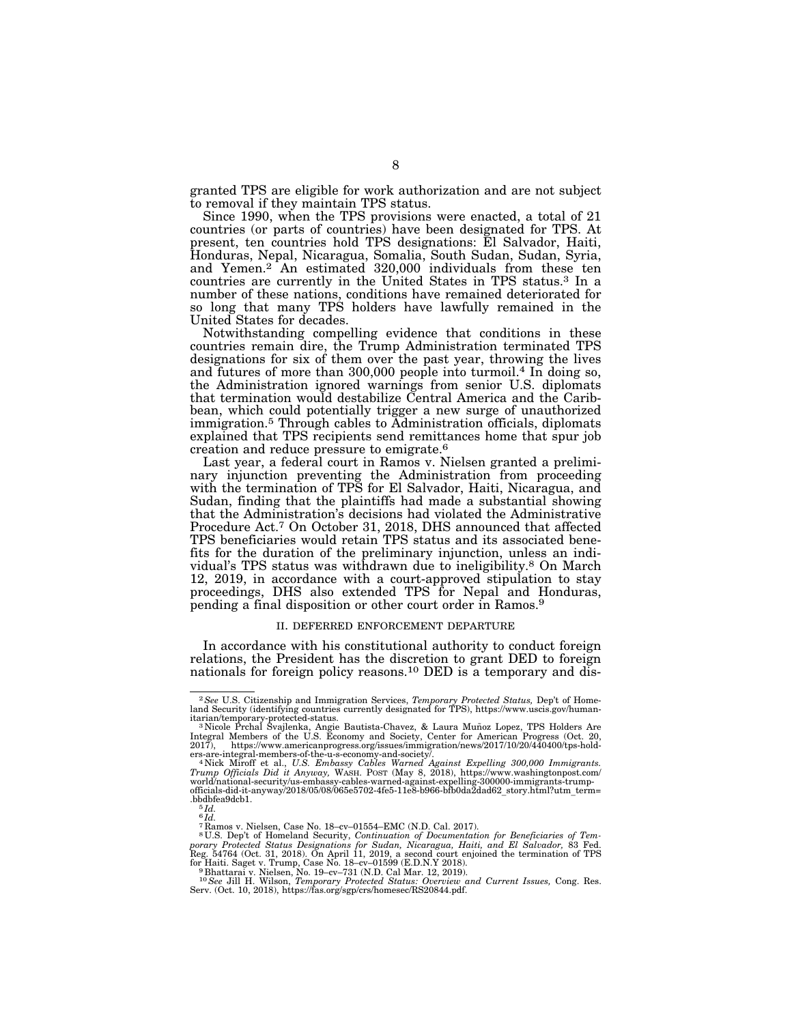granted TPS are eligible for work authorization and are not subject to removal if they maintain TPS status.

Since 1990, when the TPS provisions were enacted, a total of 21 countries (or parts of countries) have been designated for TPS. At present, ten countries hold TPS designations: El Salvador, Haiti, Honduras, Nepal, Nicaragua, Somalia, South Sudan, Sudan, Syria, and Yemen.2 An estimated 320,000 individuals from these ten countries are currently in the United States in TPS status.3 In a number of these nations, conditions have remained deteriorated for so long that many TPS holders have lawfully remained in the United States for decades.

Notwithstanding compelling evidence that conditions in these countries remain dire, the Trump Administration terminated TPS designations for six of them over the past year, throwing the lives and futures of more than 300,000 people into turmoil.4 In doing so, the Administration ignored warnings from senior U.S. diplomats that termination would destabilize Central America and the Caribbean, which could potentially trigger a new surge of unauthorized immigration.5 Through cables to Administration officials, diplomats explained that TPS recipients send remittances home that spur job creation and reduce pressure to emigrate.6

Last year, a federal court in Ramos v. Nielsen granted a preliminary injunction preventing the Administration from proceeding with the termination of TPS for El Salvador, Haiti, Nicaragua, and Sudan, finding that the plaintiffs had made a substantial showing that the Administration's decisions had violated the Administrative Procedure Act.7 On October 31, 2018, DHS announced that affected TPS beneficiaries would retain TPS status and its associated benefits for the duration of the preliminary injunction, unless an individual's TPS status was withdrawn due to ineligibility.8 On March 12, 2019, in accordance with a court-approved stipulation to stay proceedings, DHS also extended TPS for Nepal and Honduras, pending a final disposition or other court order in Ramos.9

#### II. DEFERRED ENFORCEMENT DEPARTURE

In accordance with his constitutional authority to conduct foreign relations, the President has the discretion to grant DED to foreign nationals for foreign policy reasons.<sup>10</sup> DED is a temporary and dis-

<sup>2</sup>*See* U.S. Citizenship and Immigration Services, *Temporary Protected Status,* Dep't of Homeland Security (identifying countries currently designated for TPS), https://www.uscis.gov/human-

itarian/temporary-protected-status.<br><sup>3</sup> Nicole Prchal Svajlenka, Angie Bautista-Chavez, & Laura Muñoz Lopez, TPS Holders Are<br>Integral Members of the U.S. Economy and Society, Center for American Progress (Oct. 20,<br>2017), h

ers-are-integral-members-of-the-u-s-economy-and-society*l.*<br>4 Nick Miroff et al., *U.S. Embassy Cables Warned Against Expelling 300,000 Immigrants.*<br>7 Tump Officials Did it Anyway, WASH. POST (May 8, 2018), https://www.was officials-did-it-anyway/2018/05/08/065e5702-4fe5-11e8-b966-bfb0da2dad62\_story.html?utm\_term= .bbdbfea9dcb1. 5 *Id.* 

 $^6\mathit{Id}.$ 

<sup>7</sup> Ramos v. Nielsen, Case No. 18–cv–01554–EMC (N.D. Cal. 2017).

<sup>&</sup>lt;sup>8</sup>U.S. Dep't of Homeland Security, Continuation of Documentation for Beneficiaries of Temporary Protected Status Designations for Sudan, Nicaragua, Haiti, and El Salvador, 83 Fed.<br>Reg. 54764 (Oct. 31, 2018). On April 11,

for Haiti. Saget v. Trump, Case No. 18–cv–01599 (E.D.N.Y 2018).<br><sup>9</sup> Bhattarai v. Nielsen, No. 19–cv–731 (N.D. Cal Mar. 12, 2019).<br><sup>10</sup> See Jill H. Wilson, *Temporary Protected Status: Overview and Current Issues, Cong. Res*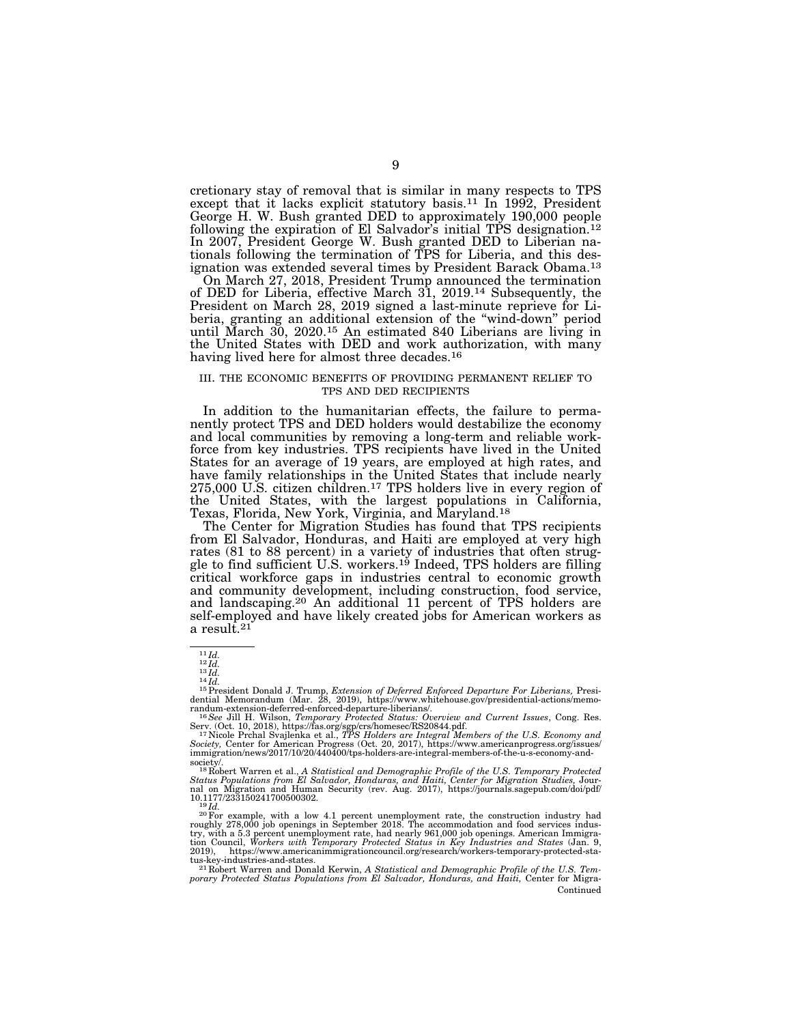cretionary stay of removal that is similar in many respects to TPS except that it lacks explicit statutory basis.<sup>11</sup> In 1992, President George H. W. Bush granted DED to approximately 190,000 people following the expiration of El Salvador's initial TPS designation.<sup>12</sup> In 2007, President George W. Bush granted DED to Liberian nationals following the termination of TPS for Liberia, and this designation was extended several times by President Barack Obama.13

On March 27, 2018, President Trump announced the termination of DED for Liberia, effective March 31, 2019.14 Subsequently, the President on March 28, 2019 signed a last-minute reprieve for Liberia, granting an additional extension of the ''wind-down'' period until March 30, 2020.15 An estimated 840 Liberians are living in the United States with DED and work authorization, with many having lived here for almost three decades.<sup>16</sup>

#### III. THE ECONOMIC BENEFITS OF PROVIDING PERMANENT RELIEF TO TPS AND DED RECIPIENTS

In addition to the humanitarian effects, the failure to permanently protect TPS and DED holders would destabilize the economy and local communities by removing a long-term and reliable workforce from key industries. TPS recipients have lived in the United States for an average of 19 years, are employed at high rates, and have family relationships in the United States that include nearly 275,000 U.S. citizen children.17 TPS holders live in every region of the United States, with the largest populations in California, Texas, Florida, New York, Virginia, and Maryland.18

The Center for Migration Studies has found that TPS recipients from El Salvador, Honduras, and Haiti are employed at very high rates (81 to 88 percent) in a variety of industries that often struggle to find sufficient U.S. workers.<sup>19</sup> Indeed, TPS holders are filling critical workforce gaps in industries central to economic growth and community development, including construction, food service, and landscaping.20 An additional 11 percent of TPS holders are self-employed and have likely created jobs for American workers as a result.<sup>21</sup>

 $^{11}$ Id.<br> $^{12}$ Id.<br> $^{14}$ Id.<br><sup>15</sup> President Donald J. Trump, *Extension of Deferred Enforced Departure For Liberians,* Presi-<br><sup>15</sup> Presidential Memorandum (Mar. 28, 2019), https://www.whitehouse.gov/presidential-actions/ randum-extension-deferred-enforced-departure-liberians/. 16*See* Jill H. Wilson, *Temporary Protected Status: Overview and Current Issues*, Cong. Res.

Serv. (Oct. 10, 2018), https://fas.org/sgp/crs/homesec/RS20844.pdf.<br><sup>17</sup> Nicole Prchal Svajlenka et al., *IPS Holders are Integral Members of the U.S. Economy and*<br>*Society,* Center for American Progress (Oct. 20, 2017), h immigration/news/2017/10/20/440400/tps-holders-are-integral-members-of-the-u-s-economy-and-

society/. 18 Robert Warren et al., *A Statistical and Demographic Profile of the U.S. Temporary Protected*  Status Populations from El Salvador, Honduras, and Haiti, Center for Migration Studies, Jour-<br>nal on Migration and Human Security (rev. Aug. 2017), https://journals.sagepub.com/doi/pdf/ 10.1177/233150241700500302.<br><sup>19</sup>*Id.* <sup>20</sup>For example, with a low 4.1 percent unemployment rate, the construction industry had

roughly 278,000 job openings in September 2018. The accommodation and food services indus-<br>try, with a 5.3 percent unemployment rate, had nearly 961,000 job openings. American Immigra-<br>tion Council, *Workers with Temporary* 2019), https://www.americanimmigrationcouncil.org/research/workers-temporary-protected-status-key-industries-and-states. 21 Robert Warren and Donald Kerwin, *A Statistical and Demographic Profile of the U.S. Tem-*

*porary Protected Status Populations from El Salvador, Honduras, and Haiti,* Center for Migra-Continued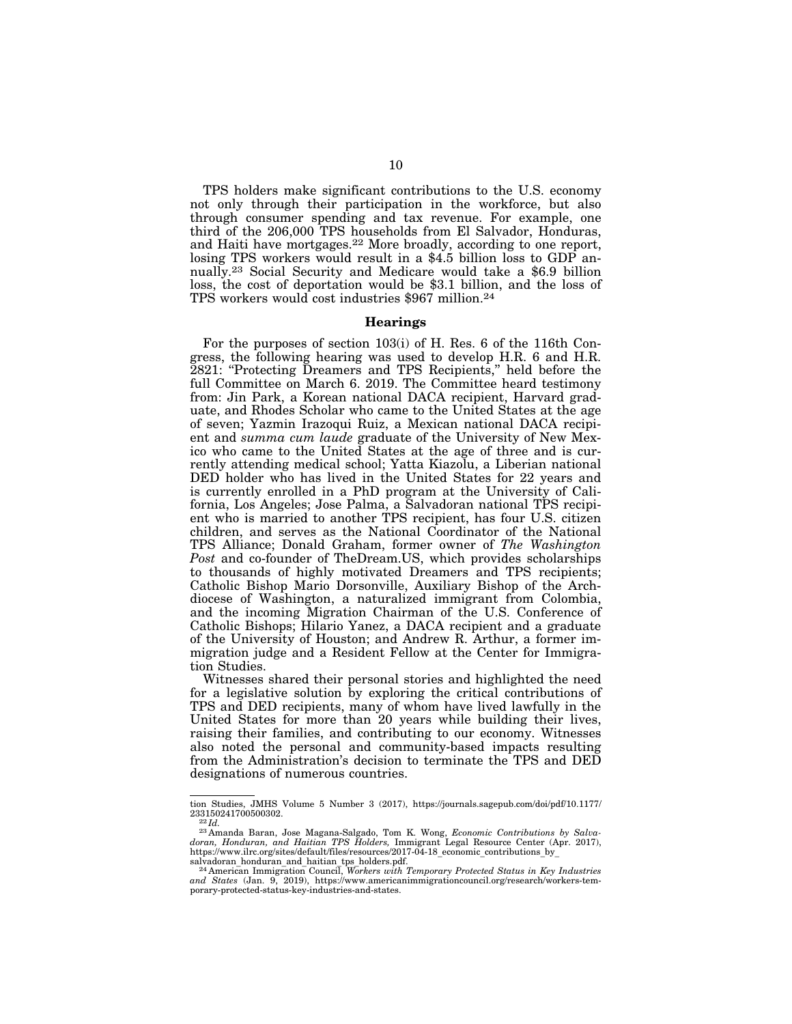TPS holders make significant contributions to the U.S. economy not only through their participation in the workforce, but also through consumer spending and tax revenue. For example, one third of the 206,000 TPS households from El Salvador, Honduras, and Haiti have mortgages.22 More broadly, according to one report, losing TPS workers would result in a \$4.5 billion loss to GDP annually.23 Social Security and Medicare would take a \$6.9 billion loss, the cost of deportation would be \$3.1 billion, and the loss of TPS workers would cost industries \$967 million.24

#### **Hearings**

For the purposes of section 103(i) of H. Res. 6 of the 116th Congress, the following hearing was used to develop H.R. 6 and H.R. 2821: "Protecting Dreamers and TPS Recipients," held before the full Committee on March 6. 2019. The Committee heard testimony from: Jin Park, a Korean national DACA recipient, Harvard graduate, and Rhodes Scholar who came to the United States at the age of seven; Yazmin Irazoqui Ruiz, a Mexican national DACA recipient and *summa cum laude* graduate of the University of New Mexico who came to the United States at the age of three and is currently attending medical school; Yatta Kiazolu, a Liberian national DED holder who has lived in the United States for 22 years and is currently enrolled in a PhD program at the University of California, Los Angeles; Jose Palma, a Salvadoran national TPS recipient who is married to another TPS recipient, has four U.S. citizen children, and serves as the National Coordinator of the National TPS Alliance; Donald Graham, former owner of *The Washington Post* and co-founder of TheDream.US, which provides scholarships to thousands of highly motivated Dreamers and TPS recipients; Catholic Bishop Mario Dorsonville, Auxiliary Bishop of the Archdiocese of Washington, a naturalized immigrant from Colombia, and the incoming Migration Chairman of the U.S. Conference of Catholic Bishops; Hilario Yanez, a DACA recipient and a graduate of the University of Houston; and Andrew R. Arthur, a former immigration judge and a Resident Fellow at the Center for Immigration Studies.

Witnesses shared their personal stories and highlighted the need for a legislative solution by exploring the critical contributions of TPS and DED recipients, many of whom have lived lawfully in the United States for more than 20 years while building their lives, raising their families, and contributing to our economy. Witnesses also noted the personal and community-based impacts resulting from the Administration's decision to terminate the TPS and DED designations of numerous countries.

tion Studies, JMHS Volume 5 Number 3 (2017), https://journals.sagepub.com/doi/pdf/10.1177/<br>233150241700500302.

<sup>233150241700500302. 22</sup> *Id.* <sup>23</sup> Amanda Baran, Jose Magana-Salgado, Tom K. Wong, *Economic Contributions by Salvadoran, Honduran, and Haitian TPS Holders,* Immigrant Legal Resource Center (Apr. 2017), https://www.ilrc.org/sites/default/files/resources/2017-04-18\_economic\_contributions\_by\_ salvadoran\_honduran\_and\_haitian\_tps\_holders.pdf. 24 American Immigration Council, *Workers with Temporary Protected Status in Key Industries* 

*and States* (Jan. 9, 2019), https://www.americanimmigrationcouncil.org/research/workers-temporary-protected-status-key-industries-and-states.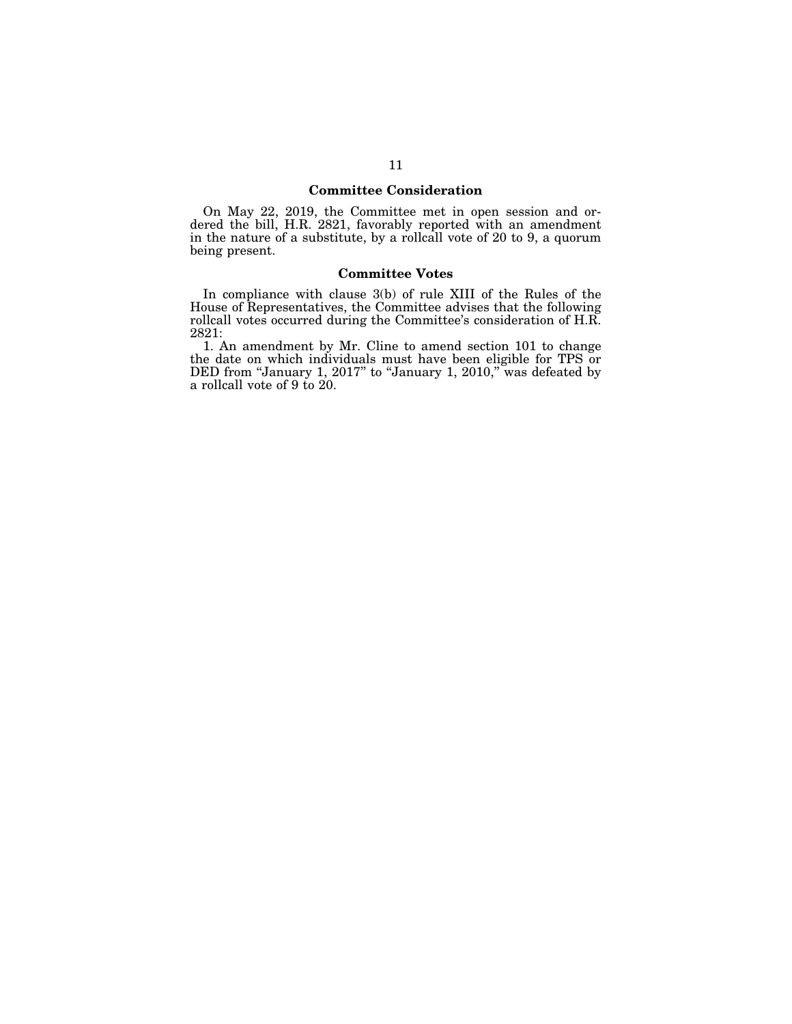# **Committee Consideration**

On May 22, 2019, the Committee met in open session and ordered the bill, H.R. 2821, favorably reported with an amendment in the nature of a substitute, by a rollcall vote of 20 to 9, a quorum being present.

# **Committee Votes**

In compliance with clause 3(b) of rule XIII of the Rules of the House of Representatives, the Committee advises that the following rollcall votes occurred during the Committee's consideration of H.R. 2821:

1. An amendment by Mr. Cline to amend section 101 to change the date on which individuals must have been eligible for TPS or DED from "January 1, 2017" to "January 1, 2010," was defeated by a rollcall vote of 9 to 20.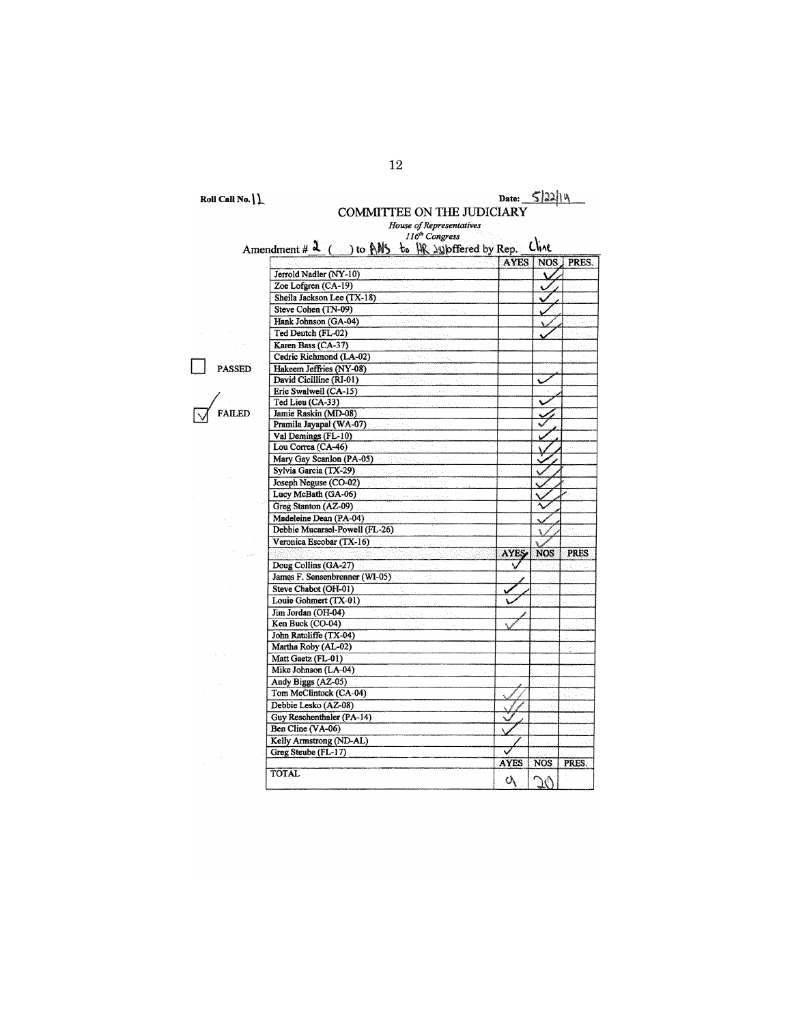Roll Call No.  $\{\}$ 

Amendment #  $\lambda$  (

Jerrold Nadler (NY-10)

# Date:  $5|22|14$

AYES NOS PRES.

Ä.

# COMMITTEE ON THE JUDICIARY

House of Representatives 116<sup>th</sup> Congress  $\sim$ ) to ANS to HR subffered by Rep. Cline

Zoe Lofgren (CA-19) Ö Sheila Jackson Lee (TX-18) Ÿ Steve Cohen (TN-09) Hank Johnson (GA-04) Ted Deutch (FL-02) Karen Bass (CA-37) Cedric Richmond (LA-02)  $\overline{\phantom{a}}$  PASSED Hakeem Jeffries (NY-08) David Cicilline (RI-01) Eric Swalwell (CA-15) Ted Lieu (CA-33) FAILED Jamie Raskin (MD-08) Pramila Jayapal (WA-07)<br>Val Demings (FL-10) Lou Correa (CA-46) Mary Gay Scanlon (PA-05) Sylvia Garcia (TX-29) Joseph Neguse (CO-02)<br>Lucy McBath (GA-06) Greg Stanton (AZ-09) Madeleine Dean (PA-04) Debbie Mucarsel-Powell (FL-26) V Veronica Escobar (TX-16) **AYES**  $NOS$ **PRES** Doug Collins (GA-27) ₹ James F. Sensenbrenner (WI-05) Steve Chabot (OH-01) Louie Gohmert (TX-01) Jim Jordan (OH-04) Ken Buck (CO-04) John Ratcliffe (TX-04) Martha Roby (AL-02) Matt Gaetz (FL-01) Mike Johnson (LA-04) Andy Biggs (AZ-05) Tom McClintock (CA-04) Debbie Lesko (AZ-08) Guy Reschenthaler (PA-14) Ben Cline (VA-06) Kelly Armstrong (ND-AL) Greg Steube (FL-17) AYES NOS PRES. **TOTAL**  $\mathcal{O}_{\mathcal{C}}$  $\infty$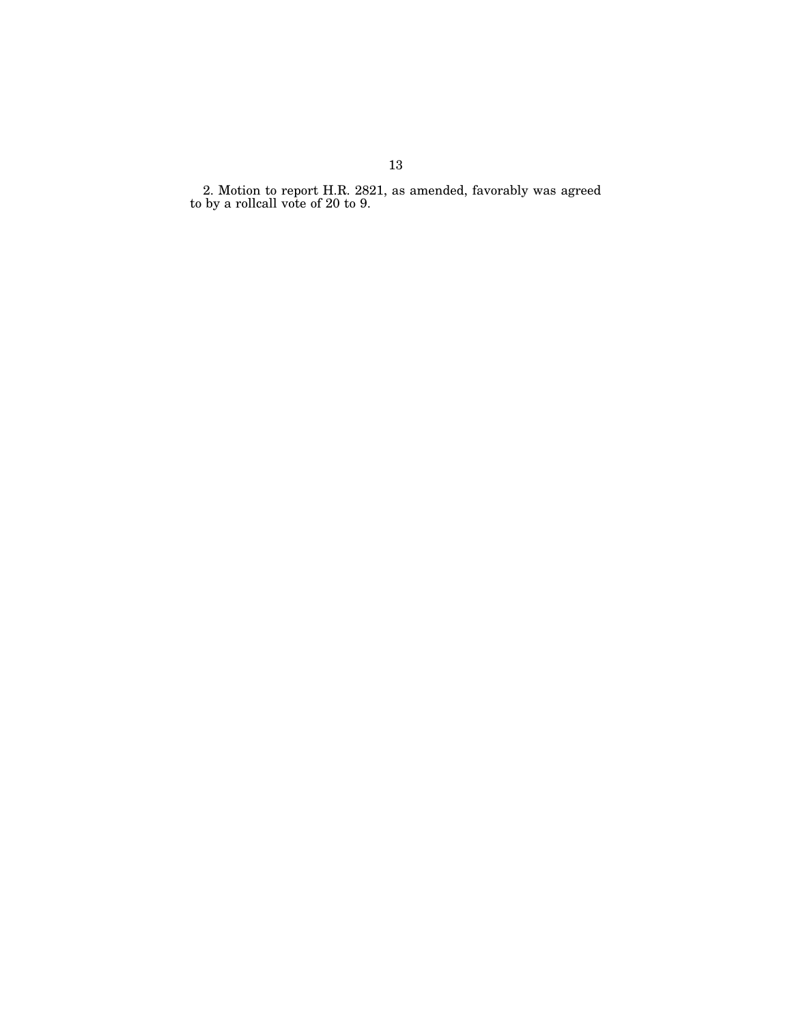2. Motion to report H.R. 2821, as amended, favorably was agreed to by a rollcall vote of 20 to 9.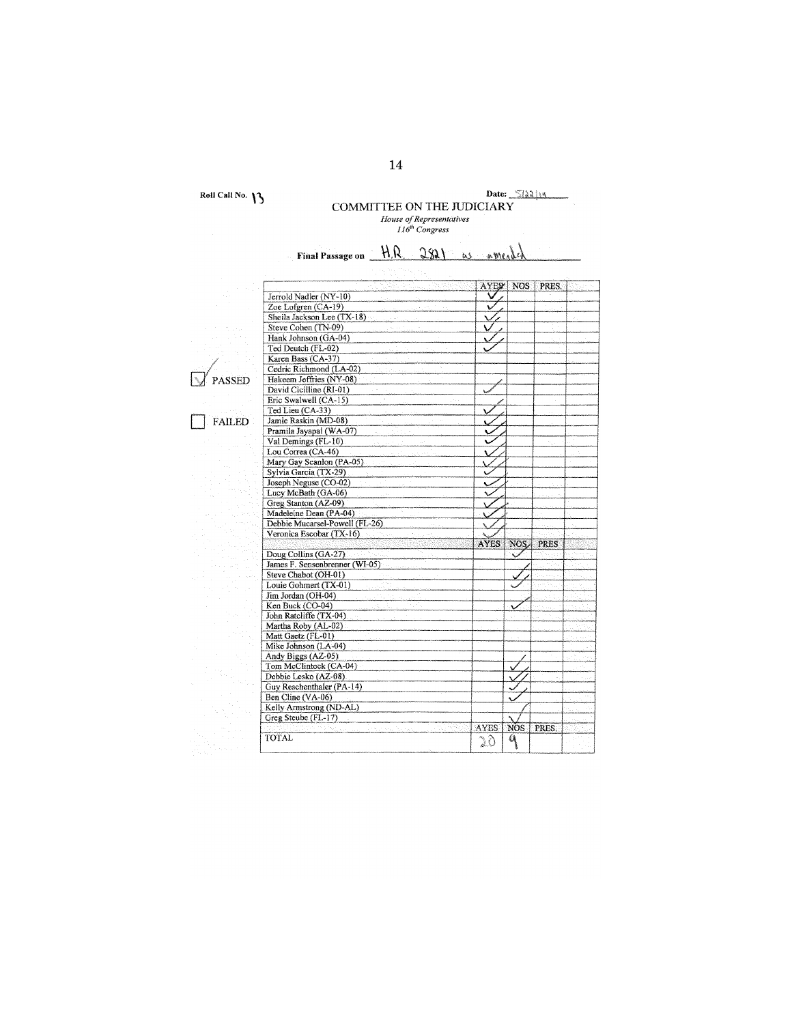Roll Call No.  $\mathcal{V}$ 

# Date:  $\frac{\sum |a_i|}{a_i}$ <br>COMMITTEE ON THE JUDICIARY<br>*House of Representatives*<br> $116^{\text{th}}$  Congress

| Final Passage on H.R. 2821 as a me.   |             |            |              |  |
|---------------------------------------|-------------|------------|--------------|--|
|                                       |             |            |              |  |
|                                       |             | AYES NOS   | <b>PRES.</b> |  |
| Jerrold Nadler (NY-10)                |             |            |              |  |
| Zoe Lofgren (CA-19)                   | ν           |            |              |  |
| Sheila Jackson Lee (TX-18)            |             |            |              |  |
| Steve Cohen (TN-09)                   | v           |            |              |  |
| Hank Johnson (GA-04)                  |             |            |              |  |
| Ted Deutch (FL-02)                    |             |            |              |  |
| Karen Bass (CA-37)                    |             |            |              |  |
| Cedric Richmond (LA-02)               |             |            |              |  |
|                                       |             |            |              |  |
| Hakeem Jeffries (NY-08)<br>PASSED     |             |            |              |  |
| David Cicilline (RI-01)               |             |            |              |  |
| Eric Swalwell (CA-15)                 |             |            |              |  |
| Ted Lieu (CA-33)                      |             |            |              |  |
| Jamie Raskin (MD-08)<br><b>FAILED</b> |             |            |              |  |
| Pramila Jayapal (WA-07)               |             |            |              |  |
| Val Demings (FL-10)                   | v           |            |              |  |
| Lou Correa (CA-46)                    |             |            |              |  |
| Mary Gay Scanlon (PA-05)              |             |            |              |  |
| Sylvia Garcia (TX-29)                 |             |            |              |  |
| Joseph Neguse (CO-02)                 |             |            |              |  |
| Lucy McBath (GA-06)                   |             |            |              |  |
| Greg Stanton (AZ-09)                  |             |            |              |  |
| Madeleine Dean (PA-04)                |             |            |              |  |
| Debbie Mucarsel-Powell (FL-26)        |             |            |              |  |
| Veronica Escobar (TX-16)              |             |            |              |  |
|                                       | <b>AYES</b> | NOS,       | <b>PRES</b>  |  |
| Doug Collins (GA-27)                  |             |            |              |  |
| James F. Sensenbrenner (WI-05)        |             |            |              |  |
| Steve Chabot (OH-01)                  |             |            |              |  |
| Louie Gohmert (TX-01)                 |             |            |              |  |
|                                       |             |            |              |  |
| Jim Jordan (OH-04)                    |             |            |              |  |
| Ken Buck (CO-04)                      |             |            |              |  |
| John Ratcliffe (TX-04)                |             |            |              |  |
| Martha Roby (AL-02)                   |             |            |              |  |
| Matt Gaetz (FL-01)                    |             |            |              |  |
| Mike Johnson (LA-04)                  |             |            |              |  |
| Andy Biggs (AZ-05)                    |             |            |              |  |
| Tom McClintock (CA-04)                |             |            |              |  |
| Debbie Lesko (AZ-08)                  |             |            |              |  |
| Guy Reschenthaler (PA-14)             |             |            |              |  |
| Ben Cline (VA-06)                     |             |            |              |  |
| Kelly Armstrong (ND-AL)               |             |            |              |  |
| Greg Steube (FL-17)                   |             |            |              |  |
|                                       | AYES.       | <b>NOS</b> | PRES.        |  |
| <b>TOTAL</b>                          | DÒ          | ٩          |              |  |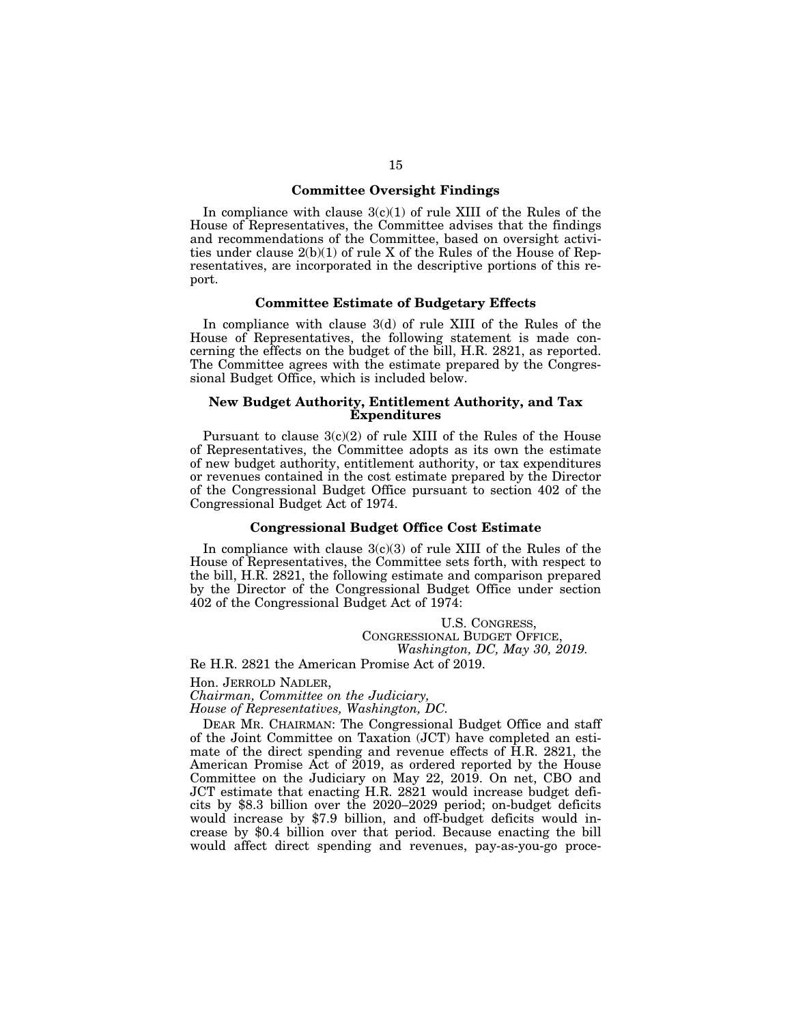# **Committee Oversight Findings**

In compliance with clause  $3(c)(1)$  of rule XIII of the Rules of the House of Representatives, the Committee advises that the findings and recommendations of the Committee, based on oversight activities under clause 2(b)(1) of rule X of the Rules of the House of Representatives, are incorporated in the descriptive portions of this report.

#### **Committee Estimate of Budgetary Effects**

In compliance with clause 3(d) of rule XIII of the Rules of the House of Representatives, the following statement is made concerning the effects on the budget of the bill, H.R. 2821, as reported. The Committee agrees with the estimate prepared by the Congressional Budget Office, which is included below.

# **New Budget Authority, Entitlement Authority, and Tax Expenditures**

Pursuant to clause  $3(c)(2)$  of rule XIII of the Rules of the House of Representatives, the Committee adopts as its own the estimate of new budget authority, entitlement authority, or tax expenditures or revenues contained in the cost estimate prepared by the Director of the Congressional Budget Office pursuant to section 402 of the Congressional Budget Act of 1974.

# **Congressional Budget Office Cost Estimate**

In compliance with clause  $3(c)(3)$  of rule XIII of the Rules of the House of Representatives, the Committee sets forth, with respect to the bill, H.R. 2821, the following estimate and comparison prepared by the Director of the Congressional Budget Office under section 402 of the Congressional Budget Act of 1974:

> U.S. CONGRESS, CONGRESSIONAL BUDGET OFFICE, *Washington, DC, May 30, 2019.*

Re H.R. 2821 the American Promise Act of 2019.

Hon. JERROLD NADLER,

*Chairman, Committee on the Judiciary,* 

*House of Representatives, Washington, DC.* 

DEAR MR. CHAIRMAN: The Congressional Budget Office and staff of the Joint Committee on Taxation (JCT) have completed an estimate of the direct spending and revenue effects of H.R. 2821, the American Promise Act of 2019, as ordered reported by the House Committee on the Judiciary on May 22, 2019. On net, CBO and JCT estimate that enacting H.R. 2821 would increase budget deficits by \$8.3 billion over the 2020–2029 period; on-budget deficits would increase by \$7.9 billion, and off-budget deficits would increase by \$0.4 billion over that period. Because enacting the bill would affect direct spending and revenues, pay-as-you-go proce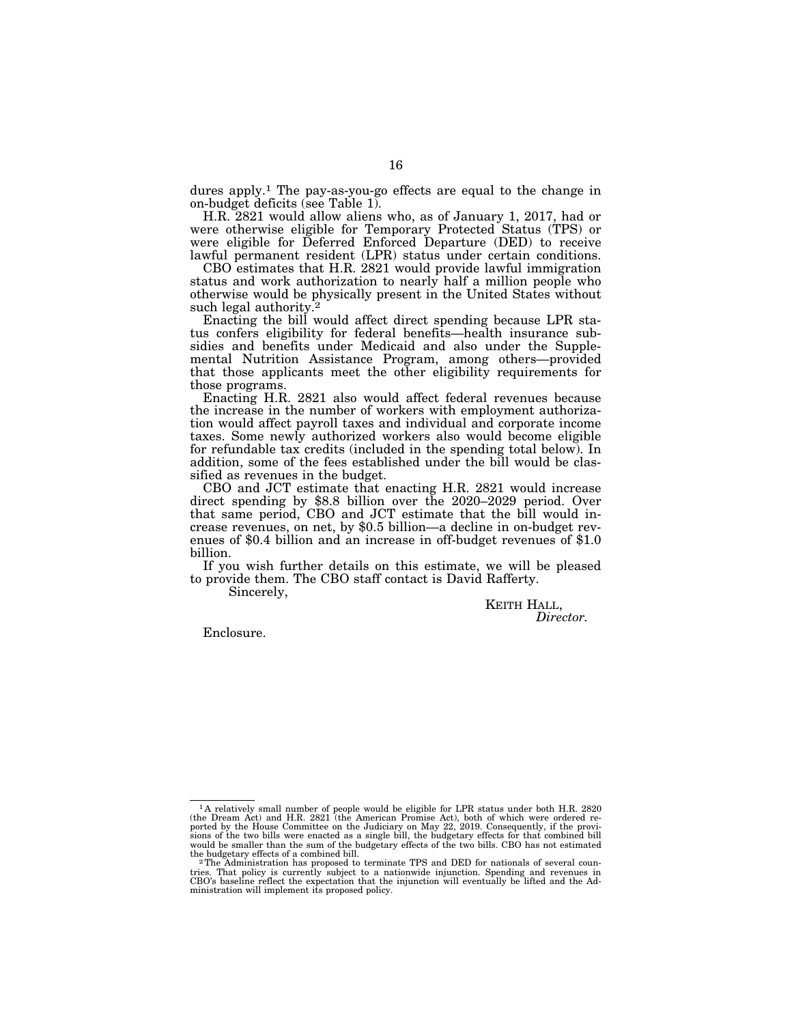dures apply.<sup>1</sup> The pay-as-you-go effects are equal to the change in on-budget deficits (see Table 1).

H.R. 2821 would allow aliens who, as of January 1, 2017, had or were otherwise eligible for Temporary Protected Status (TPS) or were eligible for Deferred Enforced Departure (DED) to receive lawful permanent resident (LPR) status under certain conditions.

CBO estimates that H.R. 2821 would provide lawful immigration status and work authorization to nearly half a million people who otherwise would be physically present in the United States without such legal authority.<sup>2</sup>

Enacting the bill would affect direct spending because LPR status confers eligibility for federal benefits—health insurance subsidies and benefits under Medicaid and also under the Supplemental Nutrition Assistance Program, among others—provided that those applicants meet the other eligibility requirements for those programs.

Enacting H.R. 2821 also would affect federal revenues because the increase in the number of workers with employment authorization would affect payroll taxes and individual and corporate income taxes. Some newly authorized workers also would become eligible for refundable tax credits (included in the spending total below). In addition, some of the fees established under the bill would be classified as revenues in the budget.

CBO and JCT estimate that enacting H.R. 2821 would increase direct spending by \$8.8 billion over the 2020–2029 period. Over that same period, CBO and JCT estimate that the bill would increase revenues, on net, by \$0.5 billion—a decline in on-budget revenues of \$0.4 billion and an increase in off-budget revenues of \$1.0 billion.

If you wish further details on this estimate, we will be pleased to provide them. The CBO staff contact is David Rafferty.

Sincerely,

KEITH HALL, *Director.* 

Enclosure.

<sup>1</sup> A relatively small number of people would be eligible for LPR status under both H.R. 2820 (the Dream Act) and H.R. 2821 (the American Promise Act), both of which were ordered re-<br>ported by the House Committee on the Judiciary on May 22, 2019. Consequently, if the provi-<br>sions of the two bills were enacted as a would be smaller than the sum of the budgetary effects of the two bills. CBO has not estimated

 $2$ The Administration has proposed to terminate TPS and DED for nationals of several countries. That policy is currently subject to a nationwide injunction. Spending and revenues in<br>CBO's baseline reflect the expectation that the injunction will eventually be lifted and the Ad-<br>ministration will implement its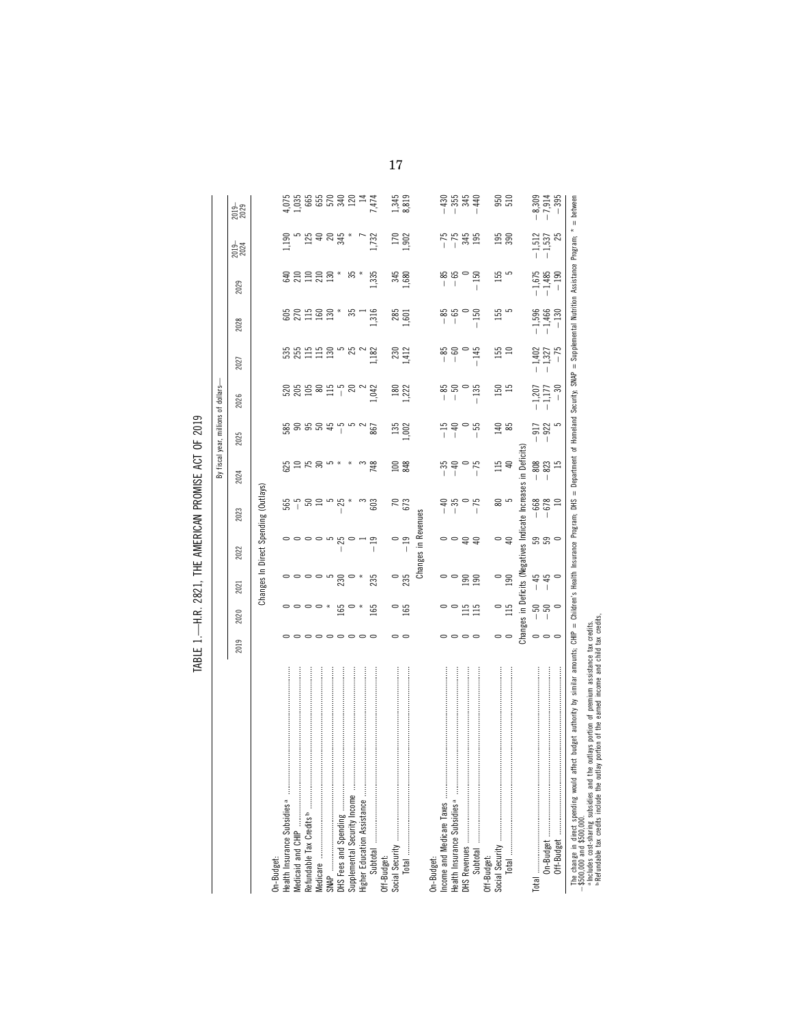| 2019                |                  |                                                                |                            |                                           |                        |                                                                                                         |                               |                               |                                |                                |                              |                                              |
|---------------------|------------------|----------------------------------------------------------------|----------------------------|-------------------------------------------|------------------------|---------------------------------------------------------------------------------------------------------|-------------------------------|-------------------------------|--------------------------------|--------------------------------|------------------------------|----------------------------------------------|
|                     | 2020             | 2021                                                           | 2022                       | 2023                                      | 2024                   | 2025                                                                                                    | 2026                          | 2027                          | 2028                           | 2029                           | 2019-                        | 2019-                                        |
|                     |                  | Changes In Direct Spending (Outlays)                           |                            |                                           |                        |                                                                                                         |                               |                               |                                |                                |                              |                                              |
|                     |                  |                                                                |                            |                                           |                        |                                                                                                         |                               |                               |                                |                                |                              |                                              |
|                     |                  |                                                                |                            |                                           |                        |                                                                                                         |                               |                               |                                |                                | 190                          |                                              |
|                     |                  |                                                                |                            |                                           |                        |                                                                                                         |                               |                               |                                |                                |                              |                                              |
| 。。。。。。。。            |                  | $\circ \circ \circ \circ$                                      |                            | ន្ល៉ាំ និង                                | 82585                  | $\overset{\text{\tiny{w}}}{\text{\tiny{w}}}$ ទី ទី ទី ទី $\overset{\text{\tiny{w}}}{\text{\tiny{w}}}$ ។ | 88998178                      | $5551255$ $80$                | <b>SRESS</b>                   | $g$ a a a a $*$                | ngaang<br>Dang               |                                              |
|                     |                  |                                                                |                            |                                           |                        |                                                                                                         |                               |                               |                                |                                |                              |                                              |
|                     | $\ast$           |                                                                |                            |                                           |                        |                                                                                                         |                               |                               |                                |                                |                              |                                              |
|                     | 165              | 230                                                            | ಸ                          | $-25$                                     |                        |                                                                                                         |                               |                               |                                |                                |                              |                                              |
|                     |                  |                                                                |                            |                                           |                        |                                                                                                         |                               |                               | ౘ                              | ౘ                              |                              |                                              |
|                     |                  |                                                                |                            |                                           |                        |                                                                                                         |                               |                               |                                |                                |                              |                                              |
|                     | 165              | 235                                                            |                            | 603                                       | 748                    | 867                                                                                                     | 1,042                         | 1.182                         | 1,316                          | 1,335                          | 1,732                        |                                              |
|                     |                  |                                                                |                            |                                           |                        |                                                                                                         |                               |                               |                                |                                |                              |                                              |
|                     |                  |                                                                |                            |                                           |                        |                                                                                                         |                               |                               |                                |                                |                              |                                              |
| $\circ$ $\circ$     | 165              | $\frac{0}{235}$                                                | $\circ$ n<br>$\frac{1}{1}$ | $\frac{70}{673}$                          | $100$<br>848           | 135<br>002                                                                                              | $180$<br>$1,222$              | $\frac{230}{1412}$            | 285<br>1,601                   | 345<br>680                     | $\frac{170}{902}$            | 1,345<br>8,819                               |
|                     |                  |                                                                | Changes in Revenues        |                                           |                        |                                                                                                         |                               |                               |                                |                                |                              |                                              |
|                     |                  |                                                                |                            |                                           |                        |                                                                                                         |                               |                               |                                |                                |                              |                                              |
|                     |                  |                                                                |                            |                                           |                        |                                                                                                         |                               |                               |                                |                                |                              |                                              |
|                     |                  |                                                                |                            | $\begin{array}{c} -40 \\ -35 \end{array}$ | ∺ ಕ                    |                                                                                                         | $-85$                         |                               | - 85<br> -                     |                                |                              |                                              |
| 0000                | $\frac{15}{115}$ | $\frac{90}{190}$                                               | ㅇㅇ유유                       |                                           |                        | <br>                                                                                                    |                               |                               |                                | အိ အိ ဓ<br>  ၂                 | $-75.45$<br>$-345$           | $-1$<br>$-1$<br>$-1$<br>$-1$<br>$-1$<br>$-1$ |
|                     |                  |                                                                |                            | $-75$                                     | $-75$                  |                                                                                                         | $-135$                        |                               | $-150$                         | 150                            |                              |                                              |
|                     |                  |                                                                |                            |                                           |                        |                                                                                                         |                               |                               |                                |                                |                              |                                              |
| $\circ$ $\circ$     | $\frac{0}{115}$  | $\frac{1}{2}$                                                  | $\circ$ a                  | 80<br>5                                   | 115                    | $\frac{40}{85}$                                                                                         | $\frac{150}{15}$              | $\frac{155}{10}$              | 155                            | 155                            | <b>195</b><br>390            | $\frac{50}{510}$                             |
|                     |                  |                                                                |                            |                                           |                        |                                                                                                         |                               |                               |                                |                                |                              |                                              |
|                     |                  | Changes in Deficits (Negatives Indicate Increases in Deficits) |                            |                                           |                        |                                                                                                         |                               |                               |                                |                                |                              |                                              |
|                     |                  |                                                                |                            |                                           |                        |                                                                                                         |                               |                               |                                |                                |                              |                                              |
| $\circ \circ \circ$ | ននុ              | $\begin{array}{c} 45 \\ + 45 \\ - 1 \end{array}$               | 3300                       | $-668$<br>$-678$<br>10                    | $-808$<br>$-823$<br>15 | $\frac{2}{9}$ $\frac{2}{9}$ $\frac{2}{9}$                                                               |                               | $-1,402$<br>$-1,327$<br>$-75$ | $-1,596$<br>$-1,466$<br>$-130$ | $-1,675$<br>$-1,485$<br>$-190$ | $-1,512$<br>$-1,537$<br>$25$ | $-8,309$<br>$-7,914$<br>$-395$               |
|                     |                  |                                                                |                            |                                           |                        |                                                                                                         | $-1,207$<br>$-1,177$<br>$-30$ |                               |                                |                                |                              |                                              |

ab

Refundable tax credits include the outlay portion of the earned income and child tax credits,

TABLE 1 .- H.R. 2821, THE AMERICAN PROMISE ACT OF 2019 TABLE 1.—H.R. 2821, THE AMERICAN PROMISE ACT OF 2019

17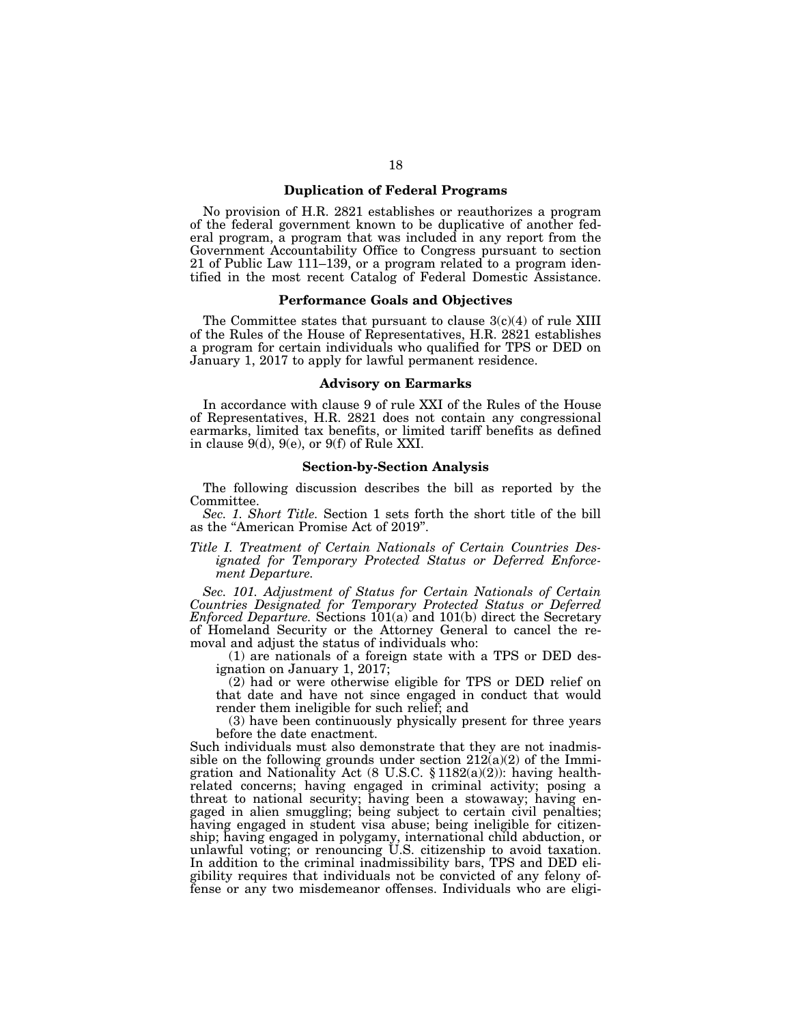# **Duplication of Federal Programs**

No provision of H.R. 2821 establishes or reauthorizes a program of the federal government known to be duplicative of another federal program, a program that was included in any report from the Government Accountability Office to Congress pursuant to section 21 of Public Law 111–139, or a program related to a program identified in the most recent Catalog of Federal Domestic Assistance.

## **Performance Goals and Objectives**

The Committee states that pursuant to clause  $3(c)(4)$  of rule XIII of the Rules of the House of Representatives, H.R. 2821 establishes a program for certain individuals who qualified for TPS or DED on January 1, 2017 to apply for lawful permanent residence.

# **Advisory on Earmarks**

In accordance with clause 9 of rule XXI of the Rules of the House of Representatives, H.R. 2821 does not contain any congressional earmarks, limited tax benefits, or limited tariff benefits as defined in clause 9(d), 9(e), or 9(f) of Rule XXI.

# **Section-by-Section Analysis**

The following discussion describes the bill as reported by the Committee.

*Sec. 1. Short Title.* Section 1 sets forth the short title of the bill as the ''American Promise Act of 2019''.

# *Title I. Treatment of Certain Nationals of Certain Countries Designated for Temporary Protected Status or Deferred Enforcement Departure.*

*Sec. 101. Adjustment of Status for Certain Nationals of Certain Countries Designated for Temporary Protected Status or Deferred Enforced Departure.* Sections 101(a) and 101(b) direct the Secretary of Homeland Security or the Attorney General to cancel the removal and adjust the status of individuals who:

(1) are nationals of a foreign state with a TPS or DED designation on January 1, 2017;

(2) had or were otherwise eligible for TPS or DED relief on that date and have not since engaged in conduct that would render them ineligible for such relief; and

(3) have been continuously physically present for three years before the date enactment.

Such individuals must also demonstrate that they are not inadmissible on the following grounds under section  $212(a)(2)$  of the Immigration and Nationality Act (8 U.S.C. § 1182(a)(2)): having healthrelated concerns; having engaged in criminal activity; posing a threat to national security; having been a stowaway; having engaged in alien smuggling; being subject to certain civil penalties; having engaged in student visa abuse; being ineligible for citizenship; having engaged in polygamy, international child abduction, or unlawful voting; or renouncing U.S. citizenship to avoid taxation. In addition to the criminal inadmissibility bars, TPS and DED eligibility requires that individuals not be convicted of any felony offense or any two misdemeanor offenses. Individuals who are eligi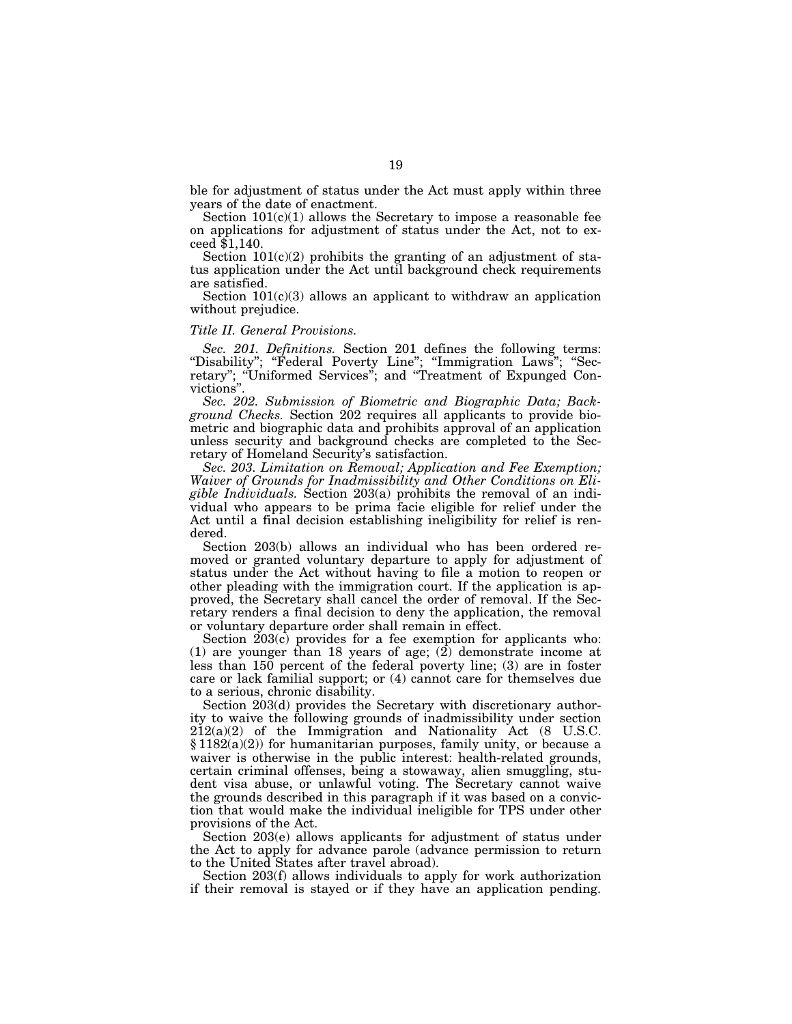ble for adjustment of status under the Act must apply within three years of the date of enactment.

Section  $101(c)(1)$  allows the Secretary to impose a reasonable fee on applications for adjustment of status under the Act, not to exceed \$1,140.

Section  $101(c)(2)$  prohibits the granting of an adjustment of status application under the Act until background check requirements are satisfied.

Section  $101(c)(3)$  allows an applicant to withdraw an application without prejudice.

#### *Title II. General Provisions.*

*Sec. 201. Definitions.* Section 201 defines the following terms: "Disability"; "Federal Poverty Line"; "Immigration Laws"; "Secretary''; ''Uniformed Services''; and ''Treatment of Expunged Convictions''.

*Sec. 202. Submission of Biometric and Biographic Data; Background Checks.* Section 202 requires all applicants to provide biometric and biographic data and prohibits approval of an application unless security and background checks are completed to the Secretary of Homeland Security's satisfaction.

*Sec. 203. Limitation on Removal; Application and Fee Exemption; Waiver of Grounds for Inadmissibility and Other Conditions on Eligible Individuals.* Section 203(a) prohibits the removal of an individual who appears to be prima facie eligible for relief under the Act until a final decision establishing ineligibility for relief is rendered.

Section 203(b) allows an individual who has been ordered removed or granted voluntary departure to apply for adjustment of status under the Act without having to file a motion to reopen or other pleading with the immigration court. If the application is approved, the Secretary shall cancel the order of removal. If the Secretary renders a final decision to deny the application, the removal or voluntary departure order shall remain in effect.

Section  $203(c)$  provides for a fee exemption for applicants who: (1) are younger than 18 years of age; (2) demonstrate income at less than 150 percent of the federal poverty line; (3) are in foster care or lack familial support; or (4) cannot care for themselves due to a serious, chronic disability.

Section 203(d) provides the Secretary with discretionary authority to waive the following grounds of inadmissibility under section  $212(a)(2)$  of the Immigration and Nationality Act  $(8 \text{ U.S.C.})$ § 1182(a)(2)) for humanitarian purposes, family unity, or because a waiver is otherwise in the public interest: health-related grounds, certain criminal offenses, being a stowaway, alien smuggling, student visa abuse, or unlawful voting. The Secretary cannot waive the grounds described in this paragraph if it was based on a conviction that would make the individual ineligible for TPS under other provisions of the Act.

Section 203(e) allows applicants for adjustment of status under the Act to apply for advance parole (advance permission to return to the United States after travel abroad).

Section 203(f) allows individuals to apply for work authorization if their removal is stayed or if they have an application pending.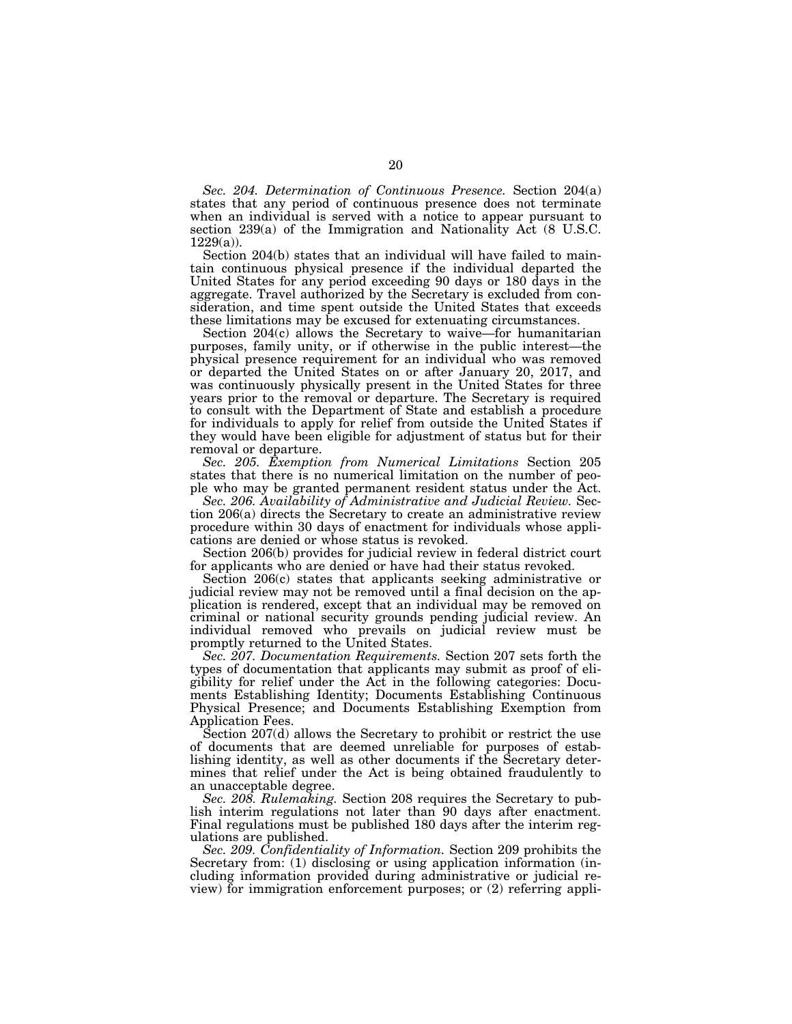*Sec. 204. Determination of Continuous Presence.* Section 204(a) states that any period of continuous presence does not terminate when an individual is served with a notice to appear pursuant to section 239(a) of the Immigration and Nationality Act (8 U.S.C. 1229(a)).

Section 204(b) states that an individual will have failed to maintain continuous physical presence if the individual departed the United States for any period exceeding 90 days or 180 days in the aggregate. Travel authorized by the Secretary is excluded from consideration, and time spent outside the United States that exceeds these limitations may be excused for extenuating circumstances.

Section 204(c) allows the Secretary to waive—for humanitarian purposes, family unity, or if otherwise in the public interest—the physical presence requirement for an individual who was removed or departed the United States on or after January 20, 2017, and was continuously physically present in the United States for three years prior to the removal or departure. The Secretary is required to consult with the Department of State and establish a procedure for individuals to apply for relief from outside the United States if they would have been eligible for adjustment of status but for their removal or departure.

*Sec. 205. Exemption from Numerical Limitations* Section 205 states that there is no numerical limitation on the number of people who may be granted permanent resident status under the Act.

*Sec. 206. Availability of Administrative and Judicial Review.* Section 206(a) directs the Secretary to create an administrative review procedure within 30 days of enactment for individuals whose applications are denied or whose status is revoked.

Section 206(b) provides for judicial review in federal district court for applicants who are denied or have had their status revoked.

Section 206(c) states that applicants seeking administrative or judicial review may not be removed until a final decision on the application is rendered, except that an individual may be removed on criminal or national security grounds pending judicial review. An individual removed who prevails on judicial review must be promptly returned to the United States.

*Sec. 207. Documentation Requirements.* Section 207 sets forth the types of documentation that applicants may submit as proof of eligibility for relief under the Act in the following categories: Documents Establishing Identity; Documents Establishing Continuous Physical Presence; and Documents Establishing Exemption from Application Fees.

Section 207(d) allows the Secretary to prohibit or restrict the use of documents that are deemed unreliable for purposes of establishing identity, as well as other documents if the Secretary determines that relief under the Act is being obtained fraudulently to an unacceptable degree.

*Sec. 208. Rulemaking.* Section 208 requires the Secretary to publish interim regulations not later than 90 days after enactment. Final regulations must be published 180 days after the interim regulations are published.

*Sec. 209. Confidentiality of Information.* Section 209 prohibits the Secretary from: (1) disclosing or using application information (including information provided during administrative or judicial review) for immigration enforcement purposes; or (2) referring appli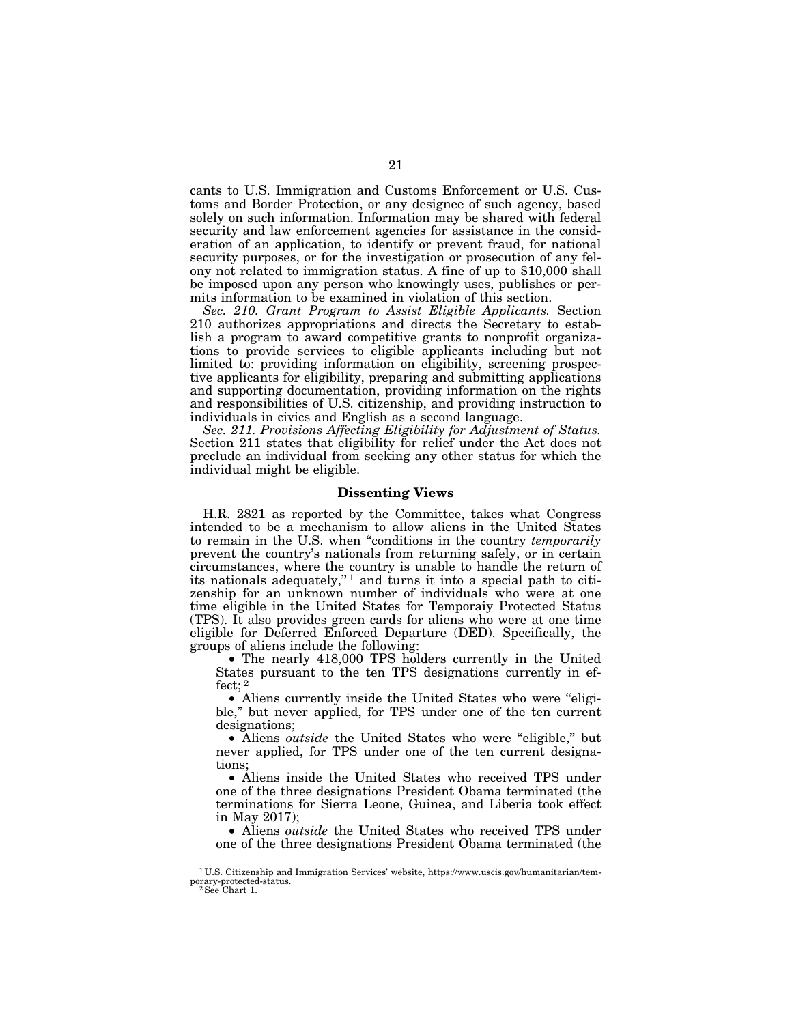cants to U.S. Immigration and Customs Enforcement or U.S. Customs and Border Protection, or any designee of such agency, based solely on such information. Information may be shared with federal security and law enforcement agencies for assistance in the consideration of an application, to identify or prevent fraud, for national security purposes, or for the investigation or prosecution of any felony not related to immigration status. A fine of up to \$10,000 shall be imposed upon any person who knowingly uses, publishes or permits information to be examined in violation of this section.

*Sec. 210. Grant Program to Assist Eligible Applicants.* Section 210 authorizes appropriations and directs the Secretary to establish a program to award competitive grants to nonprofit organizations to provide services to eligible applicants including but not limited to: providing information on eligibility, screening prospective applicants for eligibility, preparing and submitting applications and supporting documentation, providing information on the rights and responsibilities of U.S. citizenship, and providing instruction to individuals in civics and English as a second language.

*Sec. 211. Provisions Affecting Eligibility for Adjustment of Status.*  Section 211 states that eligibility for relief under the Act does not preclude an individual from seeking any other status for which the individual might be eligible.

# **Dissenting Views**

H.R. 2821 as reported by the Committee, takes what Congress intended to be a mechanism to allow aliens in the United States to remain in the U.S. when ''conditions in the country *temporarily*  prevent the country's nationals from returning safely, or in certain circumstances, where the country is unable to handle the return of its nationals adequately,'' 1 and turns it into a special path to citizenship for an unknown number of individuals who were at one time eligible in the United States for Temporaiy Protected Status (TPS). It also provides green cards for aliens who were at one time eligible for Deferred Enforced Departure (DED). Specifically, the groups of aliens include the following:

• The nearly 418,000 TPS holders currently in the United States pursuant to the ten TPS designations currently in effect; 2

• Aliens currently inside the United States who were "eligible,'' but never applied, for TPS under one of the ten current designations;

• Aliens *outside* the United States who were "eligible," but never applied, for TPS under one of the ten current designations;

• Aliens inside the United States who received TPS under one of the three designations President Obama terminated (the terminations for Sierra Leone, Guinea, and Liberia took effect in May 2017);

• Aliens *outside* the United States who received TPS under one of the three designations President Obama terminated (the

 $^{1}$  U.S. Citizenship and Immigration Services' website, https://www.uscis.gov/humanitarian/temporary-protected-status.<br><sup>2</sup>See Chart 1.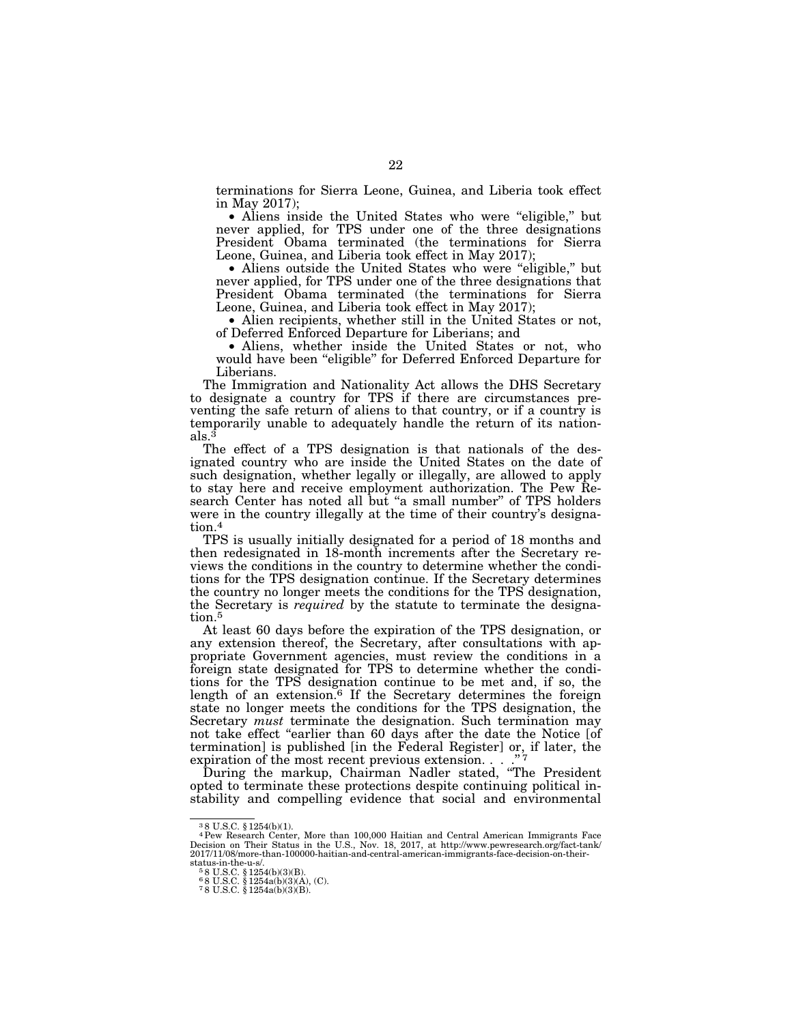terminations for Sierra Leone, Guinea, and Liberia took effect in May 2017);

• Aliens inside the United States who were "eligible," but never applied, for TPS under one of the three designations President Obama terminated (the terminations for Sierra Leone, Guinea, and Liberia took effect in May 2017);

• Aliens outside the United States who were "eligible," but never applied, for TPS under one of the three designations that President Obama terminated (the terminations for Sierra Leone, Guinea, and Liberia took effect in May 2017);

• Alien recipients, whether still in the United States or not, of Deferred Enforced Departure for Liberians; and

• Aliens, whether inside the United States or not, who would have been ''eligible'' for Deferred Enforced Departure for Liberians.

The Immigration and Nationality Act allows the DHS Secretary to designate a country for TPS if there are circumstances preventing the safe return of aliens to that country, or if a country is temporarily unable to adequately handle the return of its nationals.3

The effect of a TPS designation is that nationals of the designated country who are inside the United States on the date of such designation, whether legally or illegally, are allowed to apply to stay here and receive employment authorization. The Pew Research Center has noted all but "a small number" of TPS holders were in the country illegally at the time of their country's designation.<sup>4</sup>

TPS is usually initially designated for a period of 18 months and then redesignated in 18-month increments after the Secretary reviews the conditions in the country to determine whether the conditions for the TPS designation continue. If the Secretary determines the country no longer meets the conditions for the TPS designation, the Secretary is *required* by the statute to terminate the designation.<sup>5</sup>

At least 60 days before the expiration of the TPS designation, or any extension thereof, the Secretary, after consultations with appropriate Government agencies, must review the conditions in a foreign state designated for TPS to determine whether the conditions for the TPS designation continue to be met and, if so, the length of an extension.<sup>6</sup> If the Secretary determines the foreign state no longer meets the conditions for the TPS designation, the Secretary *must* terminate the designation. Such termination may not take effect ''earlier than 60 days after the date the Notice [of termination] is published [in the Federal Register] or, if later, the expiration of the most recent previous extension. . . . "7

During the markup, Chairman Nadler stated, ''The President opted to terminate these protections despite continuing political instability and compelling evidence that social and environmental

<sup>3</sup> 8 U.S.C. § 1254(b)(1).

<sup>4</sup>Pew Research Center, More than 100,000 Haitian and Central American Immigrants Face Decision on Their Status in the U.S., Nov. 18, 2017, at http://www.pewresearch.org/fact-tank/ 2017/11/08/more-than-100000-haitian-and-central-american-immigrants-face-decision-on-their-

status-in-the-u-s/.<br>
<sup>5</sup> 8 U.S.C. § 1254(b)(3)(B).<br>
<sup>6</sup> 8 U.S.C. § 1254a(b)(3)(A), (C).<br>
<sup>7</sup> 8 U.S.C. § 1254a(b)(3)(B).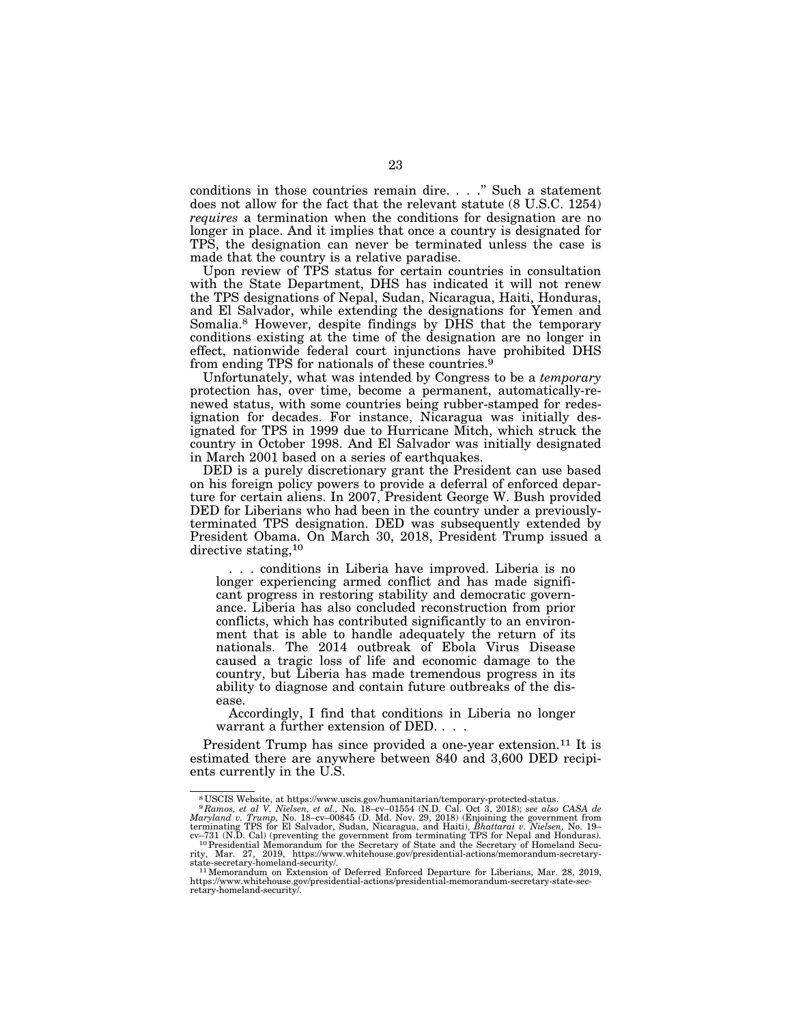conditions in those countries remain dire. . . .'' Such a statement does not allow for the fact that the relevant statute (8 U.S.C. 1254) *requires* a termination when the conditions for designation are no longer in place. And it implies that once a country is designated for TPS, the designation can never be terminated unless the case is made that the country is a relative paradise.

Upon review of TPS status for certain countries in consultation with the State Department, DHS has indicated it will not renew the TPS designations of Nepal, Sudan, Nicaragua, Haiti, Honduras, and El Salvador, while extending the designations for Yemen and Somalia.8 However, despite findings by DHS that the temporary conditions existing at the time of the designation are no longer in effect, nationwide federal court injunctions have prohibited DHS from ending TPS for nationals of these countries.9

Unfortunately, what was intended by Congress to be a *temporary*  protection has, over time, become a permanent, automatically-renewed status, with some countries being rubber-stamped for redesignation for decades. For instance, Nicaragua was initially designated for TPS in 1999 due to Hurricane Mitch, which struck the country in October 1998. And El Salvador was initially designated in March 2001 based on a series of earthquakes.

DED is a purely discretionary grant the President can use based on his foreign policy powers to provide a deferral of enforced departure for certain aliens. In 2007, President George W. Bush provided DED for Liberians who had been in the country under a previouslyterminated TPS designation. DED was subsequently extended by President Obama. On March 30, 2018, President Trump issued a directive stating,<sup>10</sup>

. . . conditions in Liberia have improved. Liberia is no longer experiencing armed conflict and has made significant progress in restoring stability and democratic governance. Liberia has also concluded reconstruction from prior conflicts, which has contributed significantly to an environment that is able to handle adequately the return of its nationals. The 2014 outbreak of Ebola Virus Disease caused a tragic loss of life and economic damage to the country, but Liberia has made tremendous progress in its ability to diagnose and contain future outbreaks of the disease.

Accordingly, I find that conditions in Liberia no longer warrant a further extension of DED. . . .

President Trump has since provided a one-year extension.<sup>11</sup> It is estimated there are anywhere between 840 and 3,600 DED recipients currently in the U.S.

<sup>&</sup>lt;sup>8</sup>USCIS Website, at https://www.uscis.gov/humanitarian/temporary-protected-status.<br><sup>9</sup> Ramos, et al V. Nielsen, et al., No. 18-cv-01554 (N.D. Cal. Oct 3, 2018); see also CASA de<br>Maryland v. Trump, No. 18-cv-00845 (D. Md.

 $^{11}$  Memorandum on Extension of Deferred Enforced Departure for Liberians, Mar. 28, 2019, https://www.whitehouse.gov/presidential-actions/presidential-memorandum-secretary-state-secretary-homeland-security/.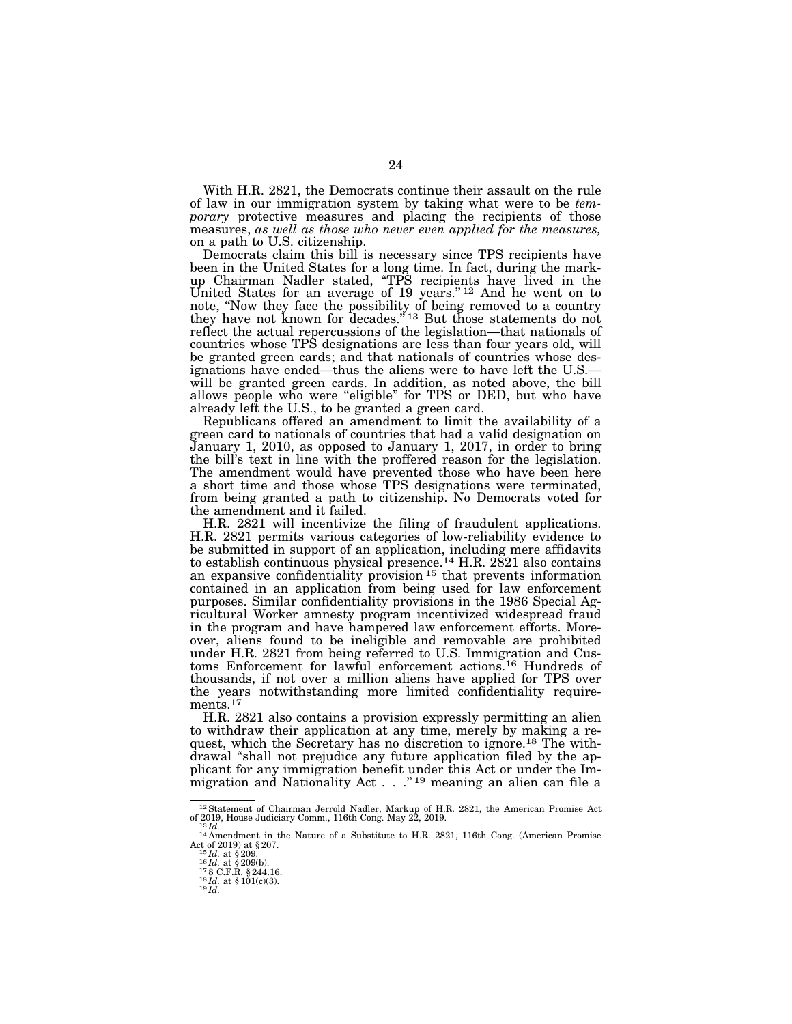With H.R. 2821, the Democrats continue their assault on the rule of law in our immigration system by taking what were to be *temporary* protective measures and placing the recipients of those measures, *as well as those who never even applied for the measures,*  on a path to U.S. citizenship.

Democrats claim this bill is necessary since TPS recipients have been in the United States for a long time. In fact, during the markup Chairman Nadler stated, ''TPS recipients have lived in the United States for an average of 19 years."<sup>12</sup> And he went on to note, ''Now they face the possibility of being removed to a country they have not known for decades."<sup>13</sup> But those statements do not reflect the actual repercussions of the legislation—that nationals of countries whose TPS designations are less than four years old, will be granted green cards; and that nationals of countries whose designations have ended—thus the aliens were to have left the U.S. will be granted green cards. In addition, as noted above, the bill allows people who were ''eligible'' for TPS or DED, but who have already left the U.S., to be granted a green card.

Republicans offered an amendment to limit the availability of a green card to nationals of countries that had a valid designation on January 1, 2010, as opposed to January 1, 2017, in order to bring the bill's text in line with the proffered reason for the legislation. The amendment would have prevented those who have been here a short time and those whose TPS designations were terminated, from being granted a path to citizenship. No Democrats voted for the amendment and it failed.

H.R. 2821 will incentivize the filing of fraudulent applications. H.R. 2821 permits various categories of low-reliability evidence to be submitted in support of an application, including mere affidavits to establish continuous physical presence.14 H.R. 2821 also contains an expansive confidentiality provision 15 that prevents information contained in an application from being used for law enforcement purposes. Similar confidentiality provisions in the 1986 Special Agricultural Worker amnesty program incentivized widespread fraud in the program and have hampered law enforcement efforts. Moreover, aliens found to be ineligible and removable are prohibited under H.R. 2821 from being referred to U.S. Immigration and Customs Enforcement for lawful enforcement actions.16 Hundreds of thousands, if not over a million aliens have applied for TPS over the years notwithstanding more limited confidentiality requirements.<sup>17</sup>

H.R. 2821 also contains a provision expressly permitting an alien to withdraw their application at any time, merely by making a request, which the Secretary has no discretion to ignore.18 The withdrawal ''shall not prejudice any future application filed by the applicant for any immigration benefit under this Act or under the Immigration and Nationality Act  $\ldots$ ."<sup>19</sup> meaning an alien can file a

<sup>&</sup>lt;sup>12</sup> Statement of Chairman Jerrold Nadler, Markup of H.R. 2821, the American Promise Act <sup>13</sup> Id.<br>of 2019, House Judiciary Comm., 116th Cong. May 22, 2019.<br><sup>13</sup>Id.<br><sup>14</sup> Amendment in the Nature of a Substitute to H.R. 2821

Act of 2019) at § 207.<br>
<sup>15</sup>*Id.* at § 209.<br>
<sup>16</sup>*Id.* at § 209(b).<br>
<sup>17</sup>8 C.F.R. § 244.16.<br>
<sup>18</sup>*Id.* at § 101(c)(3).<br> *9 Id.*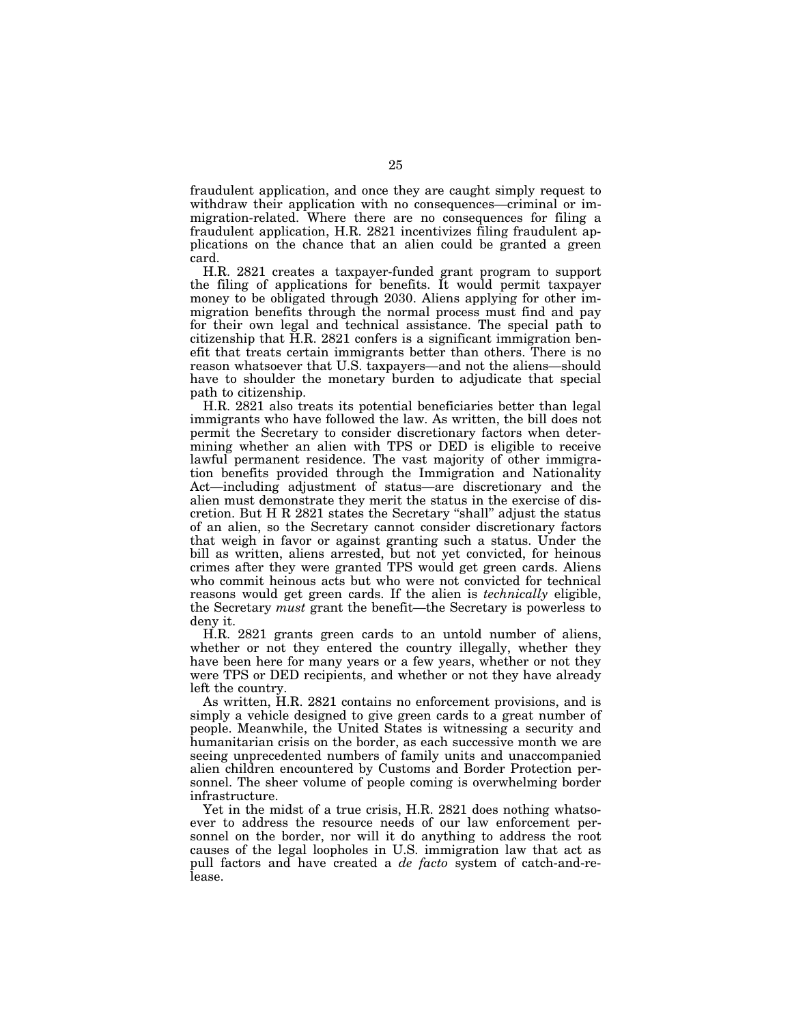fraudulent application, and once they are caught simply request to withdraw their application with no consequences—criminal or immigration-related. Where there are no consequences for filing a fraudulent application, H.R. 2821 incentivizes filing fraudulent applications on the chance that an alien could be granted a green card.

H.R. 2821 creates a taxpayer-funded grant program to support the filing of applications for benefits. It would permit taxpayer money to be obligated through 2030. Aliens applying for other immigration benefits through the normal process must find and pay for their own legal and technical assistance. The special path to citizenship that H.R. 2821 confers is a significant immigration benefit that treats certain immigrants better than others. There is no reason whatsoever that U.S. taxpayers—and not the aliens—should have to shoulder the monetary burden to adjudicate that special path to citizenship.

H.R. 2821 also treats its potential beneficiaries better than legal immigrants who have followed the law. As written, the bill does not permit the Secretary to consider discretionary factors when determining whether an alien with TPS or DED is eligible to receive lawful permanent residence. The vast majority of other immigration benefits provided through the Immigration and Nationality Act—including adjustment of status—are discretionary and the alien must demonstrate they merit the status in the exercise of discretion. But H R 2821 states the Secretary ''shall'' adjust the status of an alien, so the Secretary cannot consider discretionary factors that weigh in favor or against granting such a status. Under the bill as written, aliens arrested, but not yet convicted, for heinous crimes after they were granted TPS would get green cards. Aliens who commit heinous acts but who were not convicted for technical reasons would get green cards. If the alien is *technically* eligible, the Secretary *must* grant the benefit—the Secretary is powerless to deny it.

H.R. 2821 grants green cards to an untold number of aliens, whether or not they entered the country illegally, whether they have been here for many years or a few years, whether or not they were TPS or DED recipients, and whether or not they have already left the country.

As written, H.R. 2821 contains no enforcement provisions, and is simply a vehicle designed to give green cards to a great number of people. Meanwhile, the United States is witnessing a security and humanitarian crisis on the border, as each successive month we are seeing unprecedented numbers of family units and unaccompanied alien children encountered by Customs and Border Protection personnel. The sheer volume of people coming is overwhelming border infrastructure.

Yet in the midst of a true crisis, H.R. 2821 does nothing whatsoever to address the resource needs of our law enforcement personnel on the border, nor will it do anything to address the root causes of the legal loopholes in U.S. immigration law that act as pull factors and have created a *de facto* system of catch-and-release.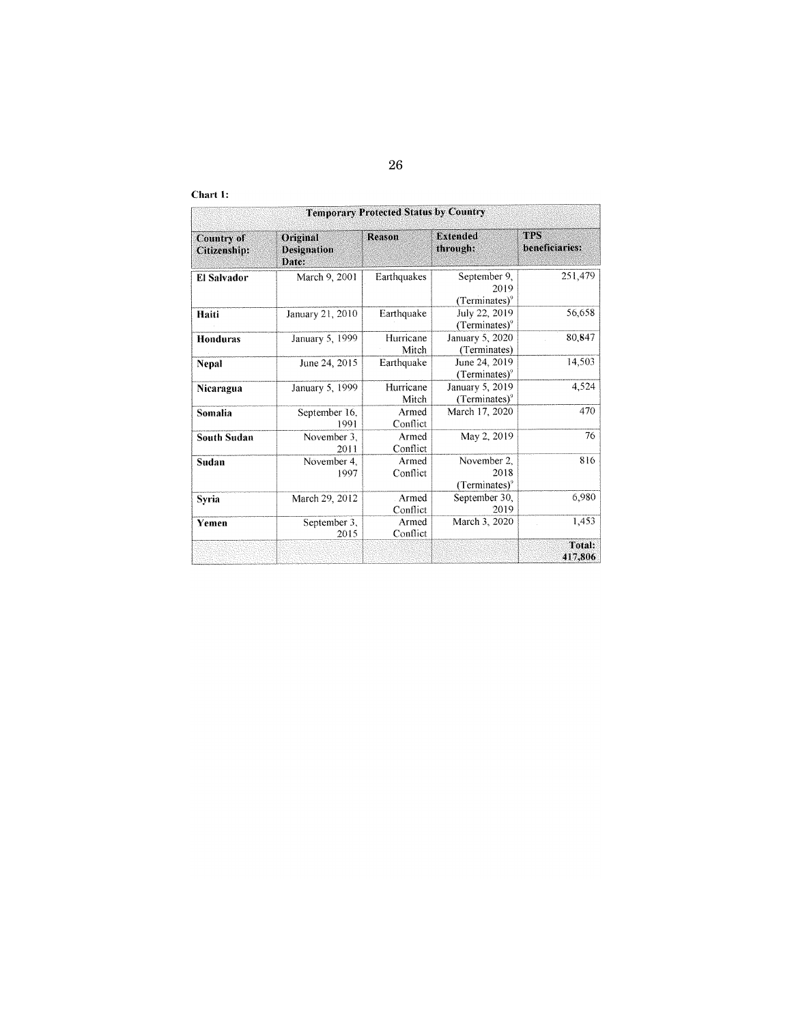| Chart |  |  |
|-------|--|--|
|-------|--|--|

| <b>Temporary Protected Status by Country</b> |                                         |                    |                                          |                              |  |  |
|----------------------------------------------|-----------------------------------------|--------------------|------------------------------------------|------------------------------|--|--|
| <b>Country of</b><br>Citizenship:            | Original<br><b>Designation</b><br>Date: | Reason             | <b>Extended</b><br>through:              | <b>TPS</b><br>beneficiaries: |  |  |
| <b>El Salvador</b>                           | March 9, 2001                           | Earthquakes        | September 9,<br>2019<br>$(Terminates)^9$ | 251,479                      |  |  |
| Haiti                                        | January 21, 2010                        | Earthquake         | July 22, 2019<br>$(Terminates)^9$        | 56,658                       |  |  |
| <b>Honduras</b>                              | January 5, 1999                         | Hurricane<br>Mitch | January 5, 2020<br>(Terminates)          | 80,847                       |  |  |
| <b>Nepal</b>                                 | June 24, 2015                           | Earthquake         | June 24, 2019<br>$(Terminates)^9$        | 14,503                       |  |  |
| Nicaragua                                    | January 5, 1999                         | Hurricane<br>Mitch | January 5, 2019<br>$(Terminates)^9$      | 4,524                        |  |  |
| Somalia                                      | September 16,<br>1991                   | Armed<br>Conflict  | March 17, 2020                           | 470                          |  |  |
| <b>South Sudan</b>                           | November 3.<br>2011                     | Armed<br>Conflict  | May 2, 2019                              | 76                           |  |  |
| Sudan                                        | November 4,<br>1997                     | Armed<br>Conflict  | November 2.<br>2018<br>$(Terminates)^9$  | 816                          |  |  |
| Syria                                        | March 29, 2012                          | Armed<br>Conflict  | September 30,<br>2019                    | 6,980                        |  |  |
| Yemen                                        | September 3,<br>2015                    | Armed<br>Conflict  | March 3, 2020                            | 1,453                        |  |  |
|                                              |                                         |                    |                                          | Total:<br>417,806            |  |  |